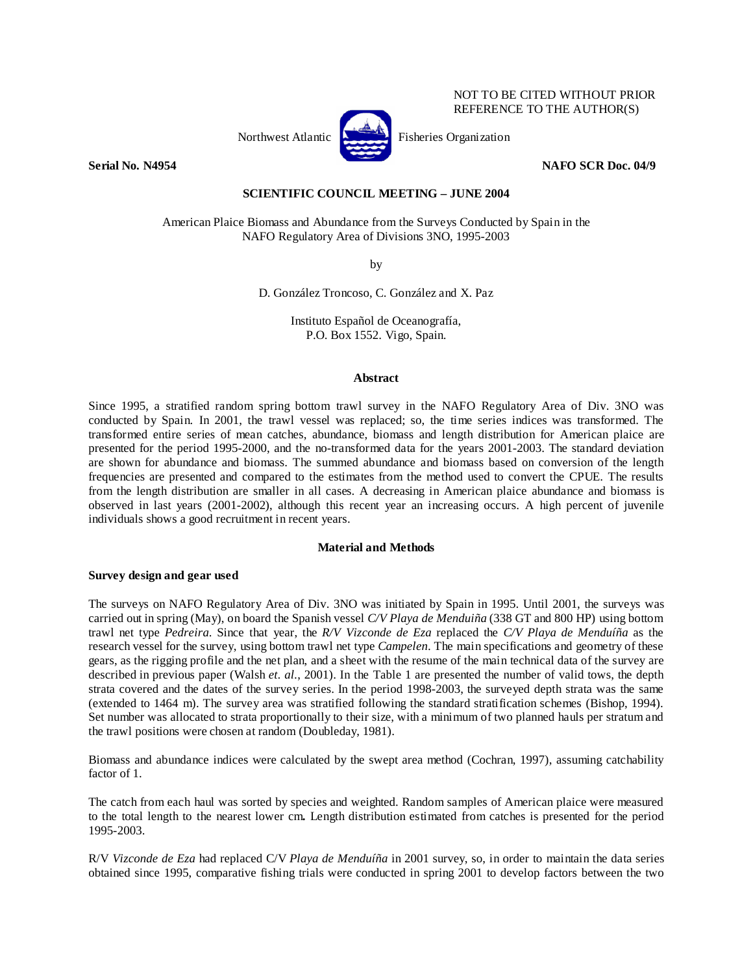

NOT TO BE CITED WITHOUT PRIOR REFERENCE TO THE AUTHOR(S)

### **Serial No. N4954** NAFO SCR Doc. 04/9

## **SCIENTIFIC COUNCIL MEETING – JUNE 2004**

American Plaice Biomass and Abundance from the Surveys Conducted by Spain in the NAFO Regulatory Area of Divisions 3NO, 1995-2003

by

D. González Troncoso, C. González and X. Paz

Instituto Español de Oceanografía, P.O. Box 1552. Vigo, Spain.

## **Abstract**

Since 1995, a stratified random spring bottom trawl survey in the NAFO Regulatory Area of Div. 3NO was conducted by Spain. In 2001, the trawl vessel was replaced; so, the time series indices was transformed. The transformed entire series of mean catches, abundance, biomass and length distribution for American plaice are presented for the period 1995-2000, and the no-transformed data for the years 2001-2003. The standard deviation are shown for abundance and biomass. The summed abundance and biomass based on conversion of the length frequencies are presented and compared to the estimates from the method used to convert the CPUE. The results from the length distribution are smaller in all cases. A decreasing in American plaice abundance and biomass is observed in last years (2001-2002), although this recent year an increasing occurs. A high percent of juvenile individuals shows a good recruitment in recent years.

# **Material and Methods**

# **Survey design and gear used**

The surveys on NAFO Regulatory Area of Div. 3NO was initiated by Spain in 1995. Until 2001, the surveys was carried out in spring (May), on board the Spanish vessel *C/V Playa de Menduiña* (338 GT and 800 HP) using bottom trawl net type *Pedreira*. Since that year, the *R/V Vizconde de Eza* replaced the *C/V Playa de Menduíña* as the research vessel for the survey, using bottom trawl net type *Campelen*. The main specifications and geometry of these gears, as the rigging profile and the net plan, and a sheet with the resume of the main technical data of the survey are described in previous paper (Walsh *et. al.*, 2001). In the Table 1 are presented the number of valid tows, the depth strata covered and the dates of the survey series. In the period 1998-2003, the surveyed depth strata was the same (extended to 1464 m). The survey area was stratified following the standard stratification schemes (Bishop, 1994). Set number was allocated to strata proportionally to their size, with a minimum of two planned hauls per stratum and the trawl positions were chosen at random (Doubleday, 1981).

Biomass and abundance indices were calculated by the swept area method (Cochran, 1997), assuming catchability factor of 1.

The catch from each haul was sorted by species and weighted. Random samples of American plaice were measured to the total length to the nearest lower cm**.** Length distribution estimated from catches is presented for the period 1995-2003.

R/V *Vizconde de Eza* had replaced C/V *Playa de Menduíña* in 2001 survey, so, in order to maintain the data series obtained since 1995, comparative fishing trials were conducted in spring 2001 to develop factors between the two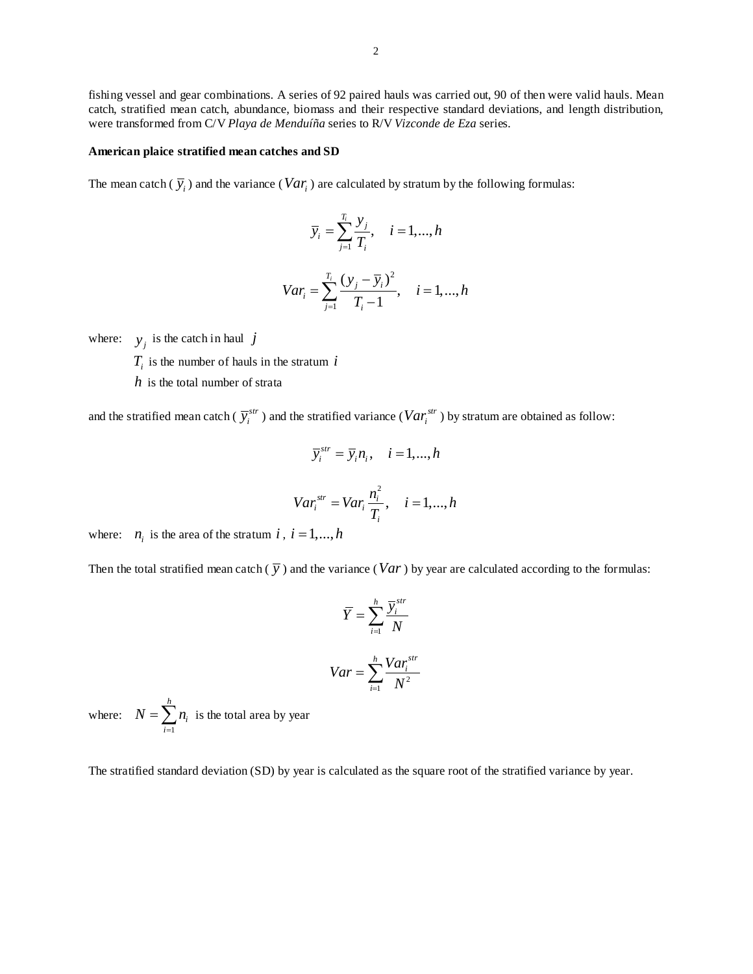fishing vessel and gear combinations. A series of 92 paired hauls was carried out, 90 of then were valid hauls. Mean catch, stratified mean catch, abundance, biomass and their respective standard deviations, and length distribution, were transformed from C/V *Playa de Menduíña* series to R/V *Vizconde de Eza* series.

#### **American plaice stratified mean catches and SD**

The mean catch  $(\bar{y}_i)$  and the variance (*Var<sub>i</sub>*) are calculated by stratum by the following formulas:

$$
\overline{y}_i = \sum_{j=1}^{T_i} \frac{y_j}{T_i}, \quad i = 1, ..., h
$$
  

$$
Var_i = \sum_{j=1}^{T_i} \frac{(y_j - \overline{y}_i)^2}{T_i - 1}, \quad i = 1, ..., h
$$

where:  $y_i$  is the catch in haul *j* 

 $T_i$  is the number of hauls in the stratum  $i$ 

*h* is the total number of strata

and the stratified mean catch ( $\bar{y}^{str}_i$ ) and the stratified variance ( $Var^{str}_i$ ) by stratum are obtained as follow:

 $j=1$   $\boldsymbol{l}_i$ 

$$
\overline{y}_i^{str} = \overline{y}_i n_i, \quad i = 1, ..., h
$$
  

$$
Var_i^{str} = Var_i \frac{n_i^2}{T_i}, \quad i = 1, ..., h
$$

where:  $n_i$  is the area of the stratum *i*,  $i = 1,...,h$ 

Then the total stratified mean catch  $(\bar{y})$  and the variance (*Var*) by year are calculated according to the formulas:

$$
\overline{Y} = \sum_{i=1}^{h} \frac{\overline{Y}_{i}^{str}}{N}
$$

$$
Var = \sum_{i=1}^{h} \frac{Var_{i}^{str}}{N^{2}}
$$

where: 1 *h i i*  $N = \sum n$  $=\sum_{i=1}^{n} n_i$  is the total area by year

The stratified standard deviation (SD) by year is calculated as the square root of the stratified variance by year.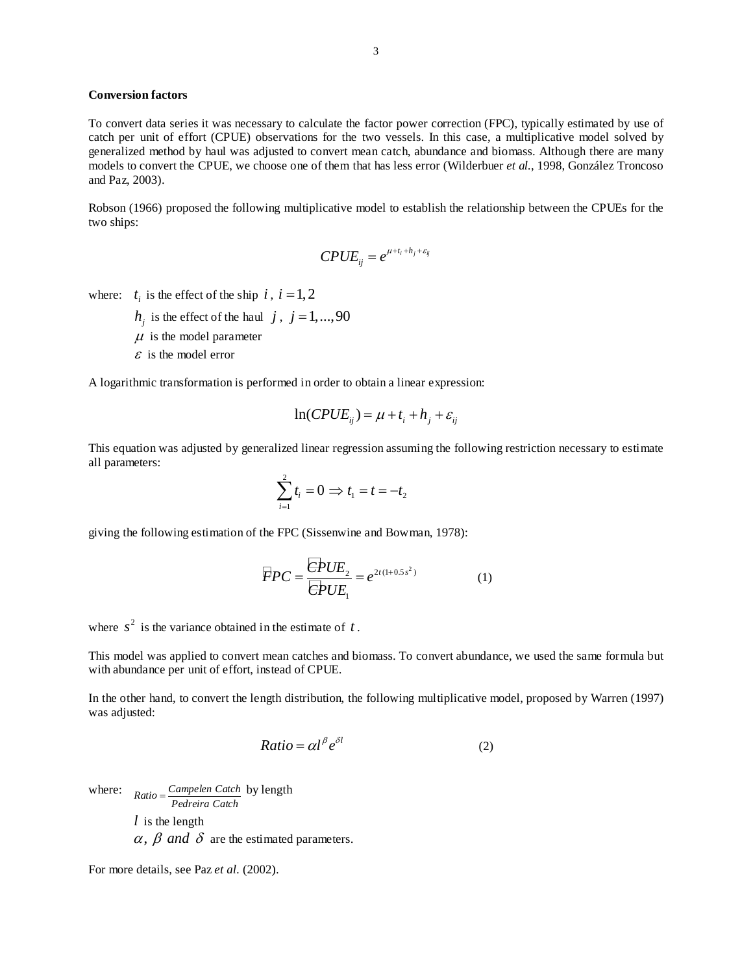## **Conversion factors**

To convert data series it was necessary to calculate the factor power correction (FPC), typically estimated by use of catch per unit of effort (CPUE) observations for the two vessels. In this case, a multiplicative model solved by generalized method by haul was adjusted to convert mean catch, abundance and biomass. Although there are many models to convert the CPUE, we choose one of them that has less error (Wilderbuer *et al.*, 1998, González Troncoso and Paz, 2003).

Robson (1966) proposed the following multiplicative model to establish the relationship between the CPUEs for the two ships:

$$
CPUE_{ij} = e^{\mu + t_i + h_j + \varepsilon_{ij}}
$$

where:  $t_i$  is the effect of the ship  $i$ ,  $i = 1, 2$ 

- $h_i$  is the effect of the haul *j*, *j* = 1,...,90
- $\mu$  is the model parameter
- $\epsilon$  is the model error

A logarithmic transformation is performed in order to obtain a linear expression:

$$
\ln(CPUE_{ij}) = \mu + t_i + h_j + \varepsilon_{ij}
$$

This equation was adjusted by generalized linear regression assuming the following restriction necessary to estimate all parameters:

$$
\sum_{i=1}^{2} t_i = 0 \Rightarrow t_1 = t = -t_2
$$

giving the following estimation of the FPC (Sissenwine and Bowman, 1978):

$$
\overline{F}PC = \frac{\overline{C}PUE_2}{\overline{C}PUE_1} = e^{2t(1+0.5s^2)}
$$
 (1)

where  $s^2$  is the variance obtained in the estimate of  $t$ .

This model was applied to convert mean catches and biomass. To convert abundance, we used the same formula but with abundance per unit of effort, instead of CPUE.

In the other hand, to convert the length distribution, the following multiplicative model, proposed by Warren (1997) was adjusted:

$$
Ratio = \alpha l^{\beta} e^{\delta l} \tag{2}
$$

where:  $Ratio = \frac{Campleen Catch}{Pedreira Catch}$  by length *l* is the length  $\alpha$ ,  $\beta$  and  $\delta$  are the estimated parameters.

For more details, see Paz *et al.* (2002).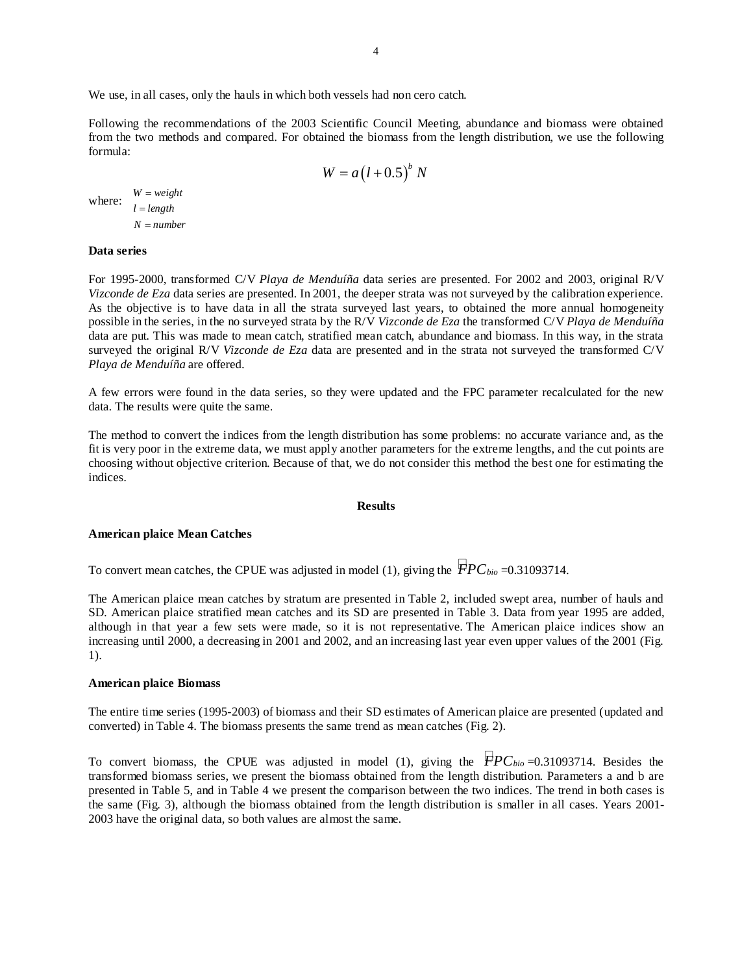We use, in all cases, only the hauls in which both vessels had non cero catch.

Following the recommendations of the 2003 Scientific Council Meeting, abundance and biomass were obtained from the two methods and compared. For obtained the biomass from the length distribution, we use the following formula:

$$
W = a(l+0.5)^b N
$$

where:  $\frac{W = weight}{1 + k^2}$  $l = length$  $N = number$ 

### **Data series**

For 1995-2000, transformed C/V *Playa de Menduíña* data series are presented. For 2002 and 2003, original R/V *Vizconde de Eza* data series are presented. In 2001, the deeper strata was not surveyed by the calibration experience. As the objective is to have data in all the strata surveyed last years, to obtained the more annual homogeneity possible in the series, in the no surveyed strata by the R/V *Vizconde de Eza* the transformed C/V *Playa de Menduíña* data are put. This was made to mean catch, stratified mean catch, abundance and biomass. In this way, in the strata surveyed the original R/V *Vizconde de Eza* data are presented and in the strata not surveyed the transformed C/V *Playa de Menduíña* are offered.

A few errors were found in the data series, so they were updated and the FPC parameter recalculated for the new data. The results were quite the same.

The method to convert the indices from the length distribution has some problems: no accurate variance and, as the fit is very poor in the extreme data, we must apply another parameters for the extreme lengths, and the cut points are choosing without objective criterion. Because of that, we do not consider this method the best one for estimating the indices.

#### **Results**

#### **American plaice Mean Catches**

To convert mean catches, the CPUE was adjusted in model (1), giving the  $\overline{PPC}_{bio} = 0.31093714$ .

The American plaice mean catches by stratum are presented in Table 2, included swept area, number of hauls and SD. American plaice stratified mean catches and its SD are presented in Table 3. Data from year 1995 are added, although in that year a few sets were made, so it is not representative. The American plaice indices show an increasing until 2000, a decreasing in 2001 and 2002, and an increasing last year even upper values of the 2001 (Fig. 1).

#### **American plaice Biomass**

The entire time series (1995-2003) of biomass and their SD estimates of American plaice are presented (updated and converted) in Table 4. The biomass presents the same trend as mean catches (Fig. 2).

To convert biomass, the CPUE was adjusted in model (1), giving the  $\overline{F}PC_{bio}=0.31093714$ . Besides the transformed biomass series, we present the biomass obtained from the length distribution. Parameters a and b are presented in Table 5, and in Table 4 we present the comparison between the two indices. The trend in both cases is the same (Fig. 3), although the biomass obtained from the length distribution is smaller in all cases. Years 2001- 2003 have the original data, so both values are almost the same.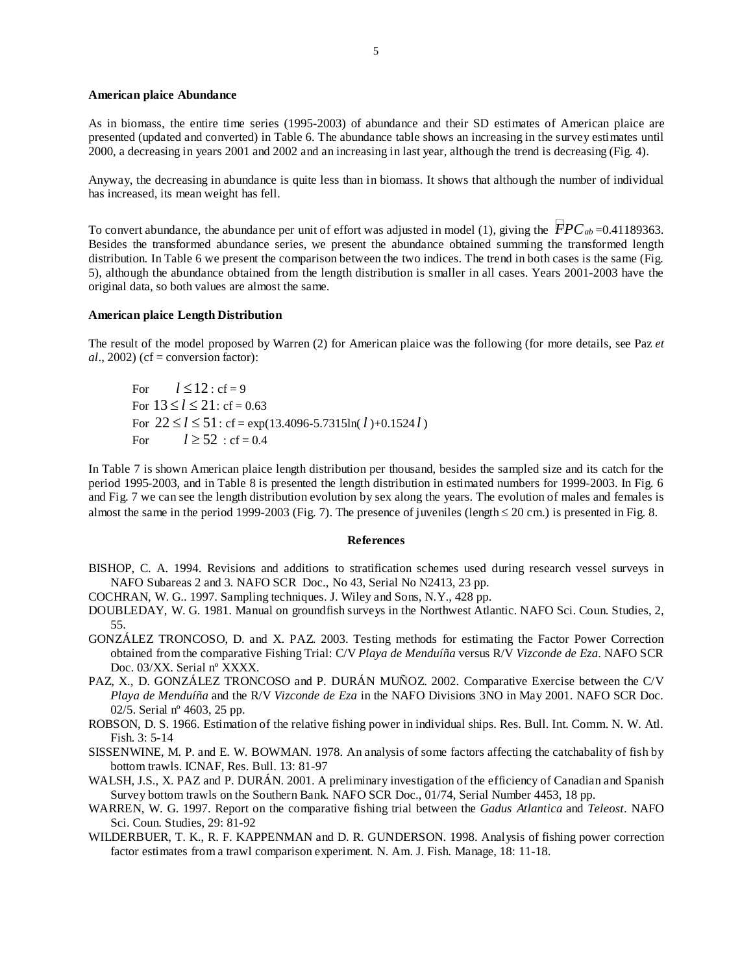#### **American plaice Abundance**

As in biomass, the entire time series (1995-2003) of abundance and their SD estimates of American plaice are presented (updated and converted) in Table 6. The abundance table shows an increasing in the survey estimates until 2000, a decreasing in years 2001 and 2002 and an increasing in last year, although the trend is decreasing (Fig. 4).

Anyway, the decreasing in abundance is quite less than in biomass. It shows that although the number of individual has increased, its mean weight has fell.

To convert abundance, the abundance per unit of effort was adjusted in model (1), giving the  $\overline{FPC}_{ab}$ =0.41189363. Besides the transformed abundance series, we present the abundance obtained summing the transformed length distribution. In Table 6 we present the comparison between the two indices. The trend in both cases is the same (Fig. 5), although the abundance obtained from the length distribution is smaller in all cases. Years 2001-2003 have the original data, so both values are almost the same.

### **American plaice Length Distribution**

The result of the model proposed by Warren (2) for American plaice was the following (for more details, see Paz *et*   $al., 2002$ ) (cf = conversion factor):

For  $l \le 12$ : cf = 9 For  $13 \le l \le 21$ : cf = 0.63 For  $22 \le l \le 51$ : cf = exp(13.4096-5.7315ln( $l$ )+0.1524 $l$ ) For  $l \ge 52$ : cf = 0.4

In Table 7 is shown American plaice length distribution per thousand, besides the sampled size and its catch for the period 1995-2003, and in Table 8 is presented the length distribution in estimated numbers for 1999-2003. In Fig. 6 and Fig. 7 we can see the length distribution evolution by sex along the years. The evolution of males and females is almost the same in the period 1999-2003 (Fig. 7). The presence of juveniles (length  $\leq 20$  cm.) is presented in Fig. 8.

### **References**

- BISHOP, C. A. 1994. Revisions and additions to stratification schemes used during research vessel surveys in NAFO Subareas 2 and 3*.* NAFO SCR Doc., No 43, Serial No N2413, 23 pp.
- COCHRAN, W. G.. 1997. Sampling techniques. J. Wiley and Sons, N.Y., 428 pp.
- DOUBLEDAY, W. G. 1981. Manual on groundfish surveys in the Northwest Atlantic. NAFO Sci. Coun. Studies, 2, 55.
- GONZÁLEZ TRONCOSO, D. and X. PAZ. 2003. Testing methods for estimating the Factor Power Correction obtained from the comparative Fishing Trial: C/V *Playa de Menduíña* versus R/V *Vizconde de Eza*. NAFO SCR Doc. 03/XX. Serial nº XXXX.
- PAZ, X., D. GONZÁLEZ TRONCOSO and P. DURÁN MUÑOZ. 2002. Comparative Exercise between the C/V *Playa de Menduíña* and the R/V *Vizconde de Eza* in the NAFO Divisions 3NO in May 2001. NAFO SCR Doc. 02/5. Serial nº 4603, 25 pp.
- ROBSON, D. S. 1966. Estimation of the relative fishing power in individual ships. Res. Bull. Int. Comm. N. W. Atl. Fish. 3: 5-14
- SISSENWINE, M. P. and E. W. BOWMAN. 1978. An analysis of some factors affecting the catchabality of fish by bottom trawls. ICNAF, Res. Bull. 13: 81-97
- WALSH, J.S., X. PAZ and P. DURÁN. 2001. A preliminary investigation of the efficiency of Canadian and Spanish Survey bottom trawls on the Southern Bank. NAFO SCR Doc., 01/74, Serial Number 4453, 18 pp.
- WARREN, W. G. 1997. Report on the comparative fishing trial between the *Gadus Atlantica* and *Teleost*. NAFO Sci. Coun. Studies, 29: 81-92
- WILDERBUER, T. K., R. F. KAPPENMAN and D. R. GUNDERSON. 1998. Analysis of fishing power correction factor estimates from a trawl comparison experiment. N. Am. J. Fish. Manage, 18: 11-18.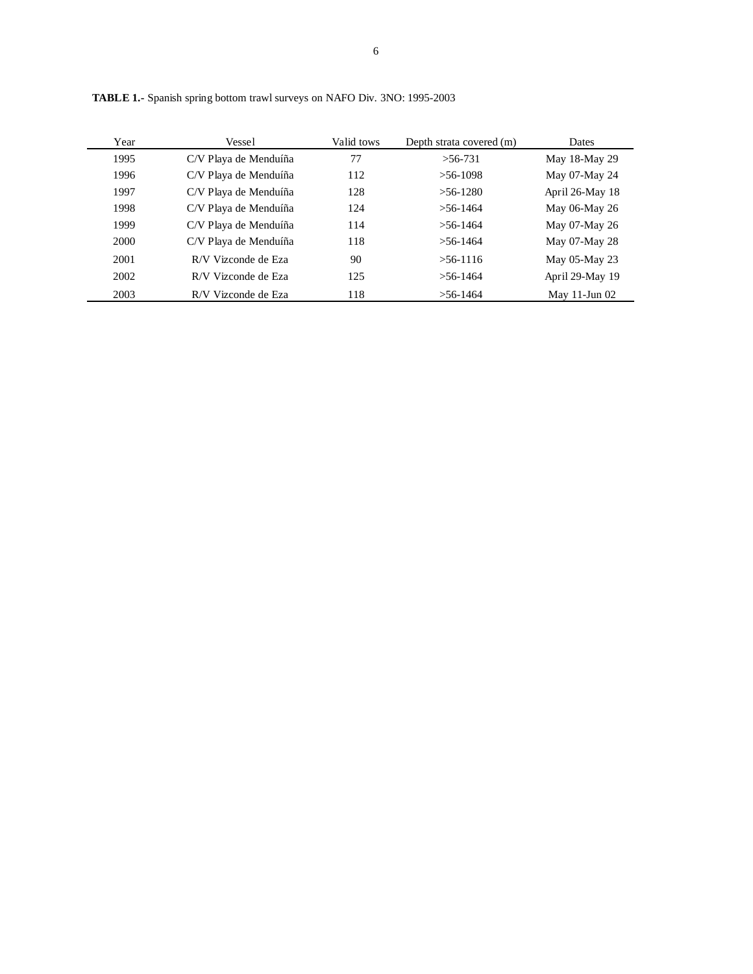| Year | Vessel                | Valid tows | Depth strata covered (m) | Dates              |
|------|-----------------------|------------|--------------------------|--------------------|
| 1995 | C/V Playa de Menduíña | 77         | $>56-731$                | May 18-May 29      |
| 1996 | C/V Playa de Menduíña | 112        | $>56-1098$               | May 07-May 24      |
| 1997 | C/V Playa de Menduíña | 128        | $>56-1280$               | April 26-May 18    |
| 1998 | C/V Playa de Menduíña | 124        | $> 56 - 1464$            | May 06-May 26      |
| 1999 | C/V Playa de Menduíña | 114        | $> 56 - 1464$            | May 07-May 26      |
| 2000 | C/V Playa de Menduíña | 118        | $> 56 - 1464$            | May 07-May 28      |
| 2001 | R/V Vizconde de Eza   | 90         | $>56-1116$               | May 05-May 23      |
| 2002 | R/V Vizconde de Eza   | 125        | $>$ 56-1464              | April 29-May 19    |
| 2003 | R/V Vizconde de Eza   | 118        | $>56-1464$               | May $11$ -Jun $02$ |

**TABLE 1.-** Spanish spring bottom trawl surveys on NAFO Div. 3NO: 1995-2003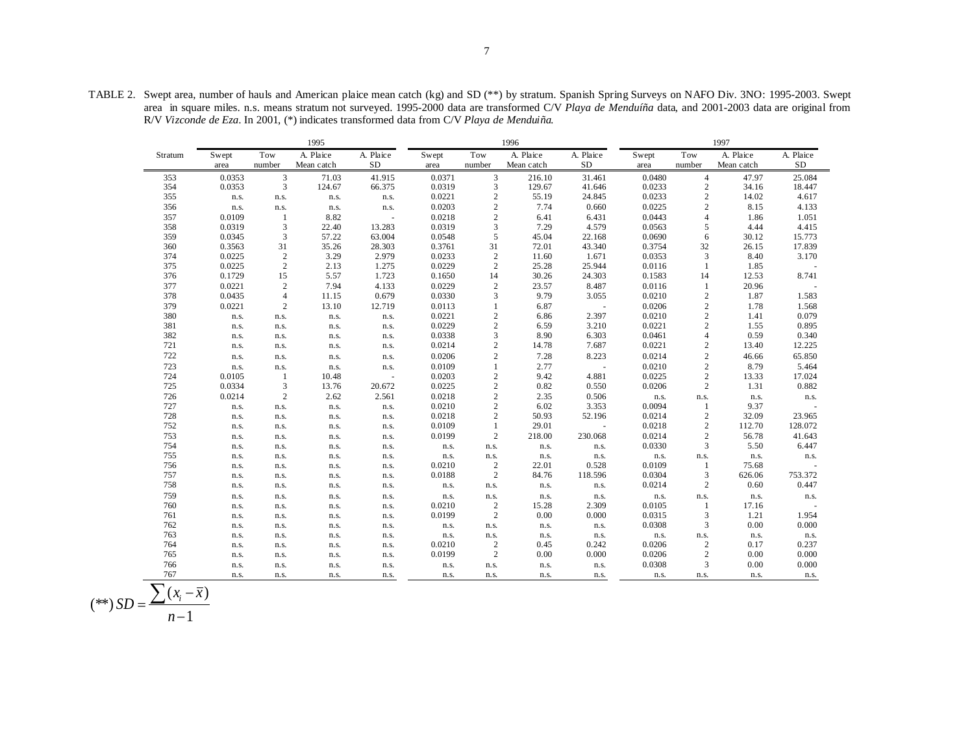TABLE 2. Swept area, number of hauls and American plaice mean catch (kg) and SD (\*\*) by stratum. Spanish Spring Surveys on NAFO Div. 3NO: 1995-2003. Swept area in square miles. n.s. means stratum not surveyed. 1995-2000 data are transformed C/V *Playa de Menduíña* data, and 2001-2003 data are original from R/V *Vizconde de Eza*. In 2001, (\*) indicates transformed data from C/V *Playa de Menduiña.*

| 1995    |        |                             |            |           |        |                | 1996       |            | 1997   |                                            |            |            |
|---------|--------|-----------------------------|------------|-----------|--------|----------------|------------|------------|--------|--------------------------------------------|------------|------------|
| Stratum | Swept  | Tow                         | A. Plaice  | A. Plaice | Swept  | Tow            | A. Plaice  | A. Plaice  | Swept  | Tow                                        | A. Plaice  | A. Plaice  |
|         | area   | number                      | Mean catch | <b>SD</b> | area   | number         | Mean catch | ${\rm SD}$ | area   | number                                     | Mean catch | ${\rm SD}$ |
| 353     | 0.0353 | 3                           | 71.03      | 41.915    | 0.0371 | 3              | 216.10     | 31.461     | 0.0480 | $\overline{4}$                             | 47.97      | 25.084     |
| 354     | 0.0353 | 3                           | 124.67     | 66.375    | 0.0319 | 3              | 129.67     | 41.646     | 0.0233 | $\boldsymbol{2}$                           | 34.16      | 18.447     |
| 355     | n.s.   | n.s.                        | n.s.       | n.s.      | 0.0221 | $\sqrt{2}$     | 55.19      | 24.845     | 0.0233 | $\sqrt{2}$                                 | 14.02      | 4.617      |
| 356     | n.s.   | n.s.                        | n.s.       | n.s.      | 0.0203 | $\overline{2}$ | 7.74       | 0.660      | 0.0225 | $\overline{c}$                             | 8.15       | 4.133      |
| 357     | 0.0109 | $\mathbf{1}$                | 8.82       | $\omega$  | 0.0218 | $\overline{c}$ | 6.41       | 6.431      | 0.0443 | $\overline{4}$                             | 1.86       | $1.051\,$  |
| 358     | 0.0319 | $\ensuremath{\mathfrak{Z}}$ | 22.40      | 13.283    | 0.0319 | 3              | 7.29       | 4.579      | 0.0563 | $\sqrt{5}$                                 | 4.44       | 4.415      |
| 359     | 0.0345 | 3                           | 57.22      | 63.004    | 0.0548 | 5              | 45.04      | 22.168     | 0.0690 | 6                                          | 30.12      | 15.773     |
| 360     | 0.3563 | 31                          | 35.26      | 28.303    | 0.3761 | 31             | 72.01      | 43.340     | 0.3754 | 32                                         | 26.15      | 17.839     |
| 374     | 0.0225 | $\sqrt{2}$                  | 3.29       | 2.979     | 0.0233 | $\sqrt{2}$     | 11.60      | 1.671      | 0.0353 | $\overline{3}$                             | 8.40       | 3.170      |
| 375     | 0.0225 | $\sqrt{2}$                  | 2.13       | 1.275     | 0.0229 | $\sqrt{2}$     | 25.28      | 25.944     | 0.0116 | 1                                          | 1.85       |            |
| 376     | 0.1729 | 15                          | 5.57       | 1.723     | 0.1650 | 14             | 30.26      | 24.303     | 0.1583 | 14                                         | 12.53      | 8.741      |
| 377     | 0.0221 | $\sqrt{2}$                  | 7.94       | 4.133     | 0.0229 | $\sqrt{2}$     | 23.57      | 8.487      | 0.0116 | $\mathbf{1}$                               | 20.96      |            |
| 378     | 0.0435 | $\overline{4}$              | 11.15      | 0.679     | 0.0330 | 3              | 9.79       | 3.055      | 0.0210 | $\,2$                                      | 1.87       | 1.583      |
| 379     | 0.0221 | $\sqrt{2}$                  | 13.10      | 12.719    | 0.0113 | 1              | 6.87       |            | 0.0206 | $\overline{c}$                             | 1.78       | 1.568      |
| 380     | n.s.   | n.s.                        | n.s.       | n.s.      | 0.0221 | $\sqrt{2}$     | 6.86       | 2.397      | 0.0210 | $\begin{smallmatrix}2\\2\end{smallmatrix}$ | 1.41       | 0.079      |
| 381     | n.s.   | n.s.                        | n.s.       | n.s.      | 0.0229 | $\sqrt{2}$     | 6.59       | 3.210      | 0.0221 |                                            | 1.55       | 0.895      |
| 382     | n.s.   | n.s.                        | n.s.       | n.s.      | 0.0338 | 3              | 8.90       | 6.303      | 0.0461 | $\overline{4}$                             | 0.59       | 0.340      |
| 721     | n.s.   | n.s.                        | n.s.       | n.s.      | 0.0214 | $\sqrt{2}$     | 14.78      | 7.687      | 0.0221 | $\sqrt{2}$                                 | 13.40      | 12.225     |
| 722     | n.s.   | n.s.                        | n.s.       | n.s.      | 0.0206 | $\sqrt{2}$     | 7.28       | 8.223      | 0.0214 | $\overline{c}$                             | 46.66      | 65.850     |
| 723     | n.s.   | n.s.                        | n.s.       | n.s.      | 0.0109 | $\mathbf{1}$   | 2.77       | ÷,         | 0.0210 | $\overline{c}$                             | 8.79       | 5.464      |
| 724     | 0.0105 | -1                          | 10.48      | $\sim$    | 0.0203 | $\sqrt{2}$     | 9.42       | 4.881      | 0.0225 | $\sqrt{2}$                                 | 13.33      | 17.024     |
| 725     | 0.0334 | 3                           | 13.76      | 20.672    | 0.0225 | $\mathbf{2}$   | 0.82       | 0.550      | 0.0206 | $\overline{c}$                             | 1.31       | 0.882      |
| 726     | 0.0214 | $\sqrt{2}$                  | 2.62       | 2.561     | 0.0218 | $\sqrt{2}$     | 2.35       | 0.506      | n.s.   | n.s.                                       | n.s.       | n.s.       |
| 727     | n.s.   | n.s.                        | n.s.       | n.s.      | 0.0210 | $\overline{c}$ | 6.02       | 3.353      | 0.0094 | 1                                          | 9.37       |            |
| 728     | n.s.   | n.s.                        | n.s.       | n.s.      | 0.0218 | $\mathbf{2}$   | 50.93      | 52.196     | 0.0214 | $\sqrt{2}$                                 | 32.09      | 23.965     |
| 752     | n.s.   | n.s.                        | n.s.       | n.s.      | 0.0109 | $\mathbf{1}$   | 29.01      | ÷,         | 0.0218 | $\sqrt{2}$                                 | 112.70     | 128.072    |
| 753     | n.s.   | n.s.                        | n.s.       | n.s.      | 0.0199 | $\overline{c}$ | 218.00     | 230.068    | 0.0214 | $\sqrt{2}$                                 | 56.78      | 41.643     |
| 754     | n.s.   | n.s.                        | n.s.       | n.s.      | n.s.   | n.s.           | n.s.       | n.s.       | 0.0330 | 3                                          | 5.50       | 6.447      |
| 755     | n.s.   | n.s.                        | n.s.       | n.s.      | n.s.   | n.s.           | n.s.       | n.s.       | n.s.   | n.s.                                       | n.s.       | n.s.       |
| 756     | n.s.   | n.s.                        | n.s.       | n.s.      | 0.0210 | $\overline{c}$ | 22.01      | 0.528      | 0.0109 | 1                                          | 75.68      |            |
| 757     | n.s.   | n.s.                        | n.s.       | n.s.      | 0.0188 | $\overline{c}$ | 84.76      | 118.596    | 0.0304 | 3                                          | 626.06     | 753.372    |
| 758     | n.s.   | n.s.                        | n.s.       | n.s.      | n.s.   | n.s.           | n.s.       | n.s.       | 0.0214 | $\mathbf{2}$                               | 0.60       | 0.447      |
| 759     | n.s.   | n.s.                        | n.s.       | n.s.      | n.s.   | n.s.           | n.s.       | n.s.       | n.s.   | n.s.                                       | n.s.       | n.s.       |
| 760     | n.s.   | n.s.                        | n.s.       | n.s.      | 0.0210 | $\overline{c}$ | 15.28      | 2.309      | 0.0105 | 1                                          | 17.16      | $\omega$   |
| 761     | n.s.   | n.s.                        | n.s.       | n.s.      | 0.0199 | $\overline{c}$ | 0.00       | 0.000      | 0.0315 | $\mathfrak{Z}$                             | 1.21       | 1.954      |
| 762     | n.s.   | n.s.                        | n.s.       | n.s.      | n.s.   | n.s.           | n.s.       | n.s.       | 0.0308 | $\mathfrak{Z}$                             | 0.00       | 0.000      |
| 763     | n.s.   | n.s.                        | n.s.       | n.s.      | n.s.   | n.s.           | n.s.       | n.s.       | n.s.   | n.s.                                       | n.s.       | n.s.       |
| 764     | n.s.   | n.s.                        | n.s.       | n.s.      | 0.0210 | $\sqrt{2}$     | 0.45       | 0.242      | 0.0206 | $\sqrt{2}$                                 | 0.17       | 0.237      |
| 765     | n.s.   | n.s.                        | n.s.       | n.s.      | 0.0199 | $\overline{c}$ | 0.00       | 0.000      | 0.0206 | $\sqrt{2}$                                 | 0.00       | 0.000      |
| 766     | n.s.   | n.s.                        | n.s.       | n.s.      | n.s.   | n.s.           | n.s.       | n.s.       | 0.0308 | 3                                          | 0.00       | 0.000      |
| 767     | n.s.   | n.s.                        | n.s.       | n.s.      | n.s.   | n.s.           | n.s.       | n.s.       | n.s.   | n.s.                                       | n.s.       | n.s.       |

$$
(**) SD = \frac{\sum (x_i - \overline{x})}{n-1}
$$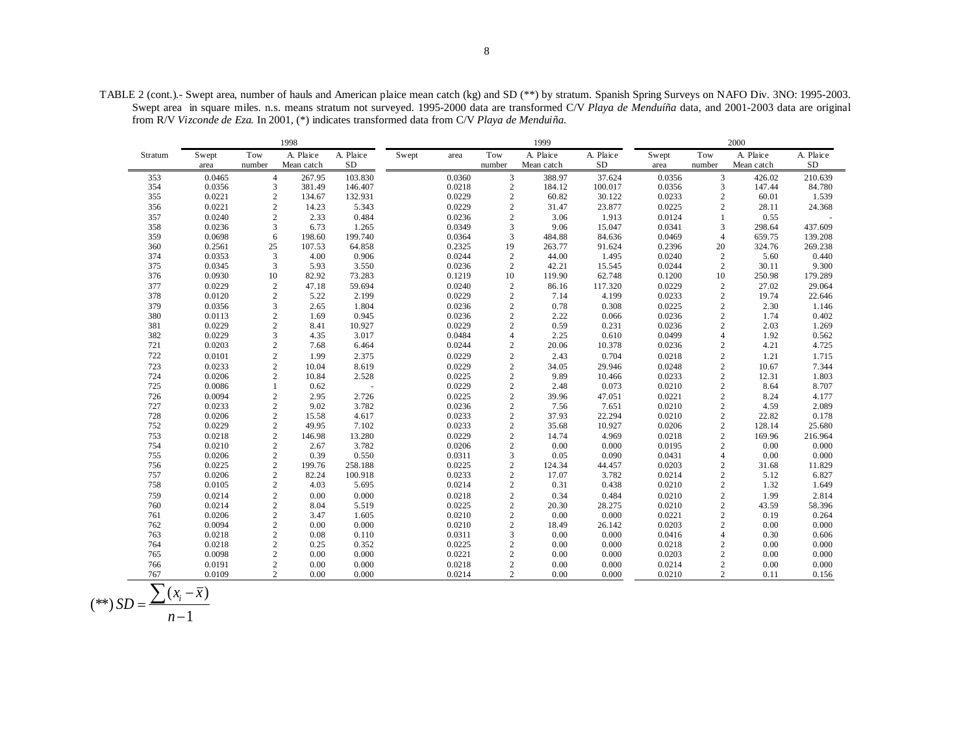TABLE 2 (cont.).- Swept area, number of hauls and American plaice mean catch (kg) and SD (\*\*) by stratum. Spanish Spring Surveys on NAFO Div. 3NO: 1995-2003. Swept area in square miles. n.s. means stratum not surveyed. 1995-2000 data are transformed C/V *Playa de Menduíña* data, and 2001-2003 data are original from R/V *Vizconde de Eza*. In 2001, (\*) indicates transformed data from C/V *Playa de Menduiña.*

|         |        |                         | 1998       |           | 1999  |        |                |            | 2000      |        |                |            |            |
|---------|--------|-------------------------|------------|-----------|-------|--------|----------------|------------|-----------|--------|----------------|------------|------------|
| Stratum | Swept  | Tow                     | A. Plaice  | A. Plaice | Swept | area   | Tow            | A. Plaice  | A. Plaice | Swept  | Tow            | A. Plaice  | A. Plaice  |
|         | area   | number                  | Mean catch | SD        |       |        | number         | Mean catch | <b>SD</b> | area   | number         | Mean catch | ${\rm SD}$ |
| 353     | 0.0465 | $\overline{4}$          | 267.95     | 103.830   |       | 0.0360 | $\mathfrak{Z}$ | 388.97     | 37.624    | 0.0356 | 3              | 426.02     | 210.639    |
| 354     | 0.0356 | 3                       | 381.49     | 146.407   |       | 0.0218 | $\overline{c}$ | 184.12     | 100.017   | 0.0356 | 3              | 147.44     | 84.780     |
| 355     | 0.0221 | $\sqrt{2}$              | 134.67     | 132.931   |       | 0.0229 | $\overline{c}$ | 60.82      | 30.122    | 0.0233 | $\mathbf{2}$   | 60.01      | 1.539      |
| 356     | 0.0221 | $\overline{c}$          | 14.23      | 5.343     |       | 0.0229 | $\overline{c}$ | 31.47      | 23.877    | 0.0225 | $\mathbf{2}$   | 28.11      | 24.368     |
| 357     | 0.0240 | $\overline{c}$          | 2.33       | 0.484     |       | 0.0236 | $\overline{2}$ | 3.06       | 1.913     | 0.0124 |                | 0.55       |            |
| 358     | 0.0236 | 3                       | 6.73       | 1.265     |       | 0.0349 | 3              | 9.06       | 15.047    | 0.0341 | 3              | 298.64     | 437.609    |
| 359     | 0.0698 | 6                       | 198.60     | 199.740   |       | 0.0364 | 3              | 484.88     | 84.636    | 0.0469 | $\overline{4}$ | 659.75     | 139.208    |
| 360     | 0.2561 | 25                      | 107.53     | 64.858    |       | 0.2325 | 19             | 263.77     | 91.624    | 0.2396 | 20             | 324.76     | 269.238    |
| 374     | 0.0353 | $\mathfrak{Z}$          | 4.00       | 0.906     |       | 0.0244 | $\sqrt{2}$     | 44.00      | 1.495     | 0.0240 | $\overline{c}$ | 5.60       | 0.440      |
| 375     | 0.0345 | 3                       | 5.93       | 3.550     |       | 0.0236 | $\sqrt{2}$     | 42.21      | 15.545    | 0.0244 | $\overline{c}$ | 30.11      | 9.300      |
| 376     | 0.0930 | $10\,$                  | 82.92      | 73.283    |       | 0.1219 | 10             | 119.90     | 62.748    | 0.1200 | 10             | 250.98     | 179.289    |
| 377     | 0.0229 | $\sqrt{2}$              | 47.18      | 59.694    |       | 0.0240 | $\sqrt{2}$     | 86.16      | 117.320   | 0.0229 | $\mathbf{2}$   | 27.02      | 29.064     |
| 378     | 0.0120 | $\overline{c}$          | 5.22       | 2.199     |       | 0.0229 | $\overline{c}$ | 7.14       | 4.199     | 0.0233 | $\sqrt{2}$     | 19.74      | 22.646     |
| 379     | 0.0356 | 3                       | 2.65       | 1.804     |       | 0.0236 | $\overline{c}$ | 0.78       | 0.308     | 0.0225 | $\overline{2}$ | 2.30       | 1.146      |
| 380     | 0.0113 | $\sqrt{2}$              | 1.69       | 0.945     |       | 0.0236 | $\sqrt{2}$     | 2.22       | 0.066     | 0.0236 | $\sqrt{2}$     | 1.74       | 0.402      |
| 381     | 0.0229 | $\overline{c}$          | 8.41       | 10.927    |       | 0.0229 | $\overline{c}$ | 0.59       | 0.231     | 0.0236 | $\mathbf{2}$   | 2.03       | 1.269      |
| 382     | 0.0229 | 3                       | 4.35       | 3.017     |       | 0.0484 | $\overline{4}$ | 2.25       | 0.610     | 0.0499 | $\overline{4}$ | 1.92       | 0.562      |
| 721     | 0.0203 | $\sqrt{2}$              | 7.68       | 6.464     |       | 0.0244 | $\overline{2}$ | 20.06      | 10.378    | 0.0236 | $\sqrt{2}$     | 4.21       | 4.725      |
| 722     | 0.0101 | $\overline{c}$          | 1.99       | 2.375     |       | 0.0229 | $\sqrt{2}$     | 2.43       | 0.704     | 0.0218 | $\overline{c}$ | 1.21       | 1.715      |
| 723     | 0.0233 | $\sqrt{2}$              | 10.04      | 8.619     |       | 0.0229 | $\overline{c}$ | 34.05      | 29.946    | 0.0248 | $\sqrt{2}$     | 10.67      | 7.344      |
| 724     | 0.0206 | $\overline{c}$          | 10.84      | 2.528     |       | 0.0225 | $\overline{2}$ | 9.89       | 10.466    | 0.0233 | $\mathbf{2}$   | 12.31      | 1.803      |
| 725     | 0.0086 | $\mathbf{1}$            | 0.62       |           |       | 0.0229 | $\overline{c}$ | 2.48       | 0.073     | 0.0210 | $\mathbf{2}$   | 8.64       | 8.707      |
| 726     | 0.0094 | $\sqrt{2}$              | 2.95       | 2.726     |       | 0.0225 | $\sqrt{2}$     | 39.96      | 47.051    | 0.0221 | $\sqrt{2}$     | 8.24       | 4.177      |
| 727     | 0.0233 | $\sqrt{2}$              | 9.02       | 3.782     |       | 0.0236 | $\sqrt{2}$     | 7.56       | 7.651     | 0.0210 | $\mathbf{2}$   | 4.59       | 2.089      |
| 728     | 0.0206 | $\overline{c}$          | 15.58      | 4.617     |       | 0.0233 | $\overline{c}$ | 37.93      | 22.294    | 0.0210 | $\mathbf{2}$   | 22.82      | 0.178      |
| 752     | 0.0229 | $\sqrt{2}$              | 49.95      | 7.102     |       | 0.0233 | $\sqrt{2}$     | 35.68      | 10.927    | 0.0206 | $\sqrt{2}$     | 128.14     | 25.680     |
| 753     | 0.0218 | $\sqrt{2}$              | 146.98     | 13.280    |       | 0.0229 | $\sqrt{2}$     | 14.74      | 4.969     | 0.0218 | $\overline{c}$ | 169.96     | 216.964    |
| 754     | 0.0210 | $\overline{c}$          | 2.67       | 3.782     |       | 0.0206 | $\overline{c}$ | 0.00       | 0.000     | 0.0195 | $\overline{c}$ | 0.00       | 0.000      |
| 755     | 0.0206 | $\sqrt{2}$              | 0.39       | 0.550     |       | 0.0311 | 3              | 0.05       | 0.090     | 0.0431 | $\overline{4}$ | 0.00       | 0.000      |
| 756     | 0.0225 | $\sqrt{2}$              | 199.76     | 258.188   |       | 0.0225 | $\sqrt{2}$     | 124.34     | 44.457    | 0.0203 | $\sqrt{2}$     | 31.68      | 11.829     |
| 757     | 0.0206 | $\overline{c}$          | 82.24      | 100.918   |       | 0.0233 | $\overline{c}$ | 17.07      | 3.782     | 0.0214 | $\mathbf{2}$   | 5.12       | 6.827      |
| 758     | 0.0105 | $\sqrt{2}$              | 4.03       | 5.695     |       | 0.0214 | $\overline{c}$ | 0.31       | 0.438     | 0.0210 | $\sqrt{2}$     | 1.32       | 1.649      |
| 759     | 0.0214 | $\sqrt{2}$              | 0.00       | 0.000     |       | 0.0218 | $\sqrt{2}$     | 0.34       | 0.484     | 0.0210 | $\mathbf{2}$   | 1.99       | 2.814      |
| 760     | 0.0214 | $\overline{c}$          | 8.04       | 5.519     |       | 0.0225 | $\overline{c}$ | 20.30      | 28.275    | 0.0210 | $\overline{c}$ | 43.59      | 58.396     |
| 761     | 0.0206 | $\overline{c}$          | 3.47       | 1.605     |       | 0.0210 | $\sqrt{2}$     | 0.00       | 0.000     | 0.0221 | $\overline{c}$ | 0.19       | 0.264      |
| 762     | 0.0094 | $\overline{\mathbf{c}}$ | 0.00       | 0.000     |       | 0.0210 | $\sqrt{2}$     | 18.49      | 26.142    | 0.0203 | $\sqrt{2}$     | 0.00       | 0.000      |
| 763     | 0.0218 | $\overline{c}$          | 0.08       | 0.110     |       | 0.0311 | 3              | 0.00       | 0.000     | 0.0416 | $\overline{4}$ | 0.30       | 0.606      |
| 764     | 0.0218 | $\overline{c}$          | 0.25       | 0.352     |       | 0.0225 | $\overline{c}$ | 0.00       | 0.000     | 0.0218 | $\overline{c}$ | 0.00       | 0.000      |
| 765     | 0.0098 | $\sqrt{2}$              | 0.00       | 0.000     |       | 0.0221 | $\sqrt{2}$     | 0.00       | 0.000     | 0.0203 | $\overline{c}$ | 0.00       | 0.000      |
| 766     | 0.0191 | $\overline{c}$          | 0.00       | 0.000     |       | 0.0218 | $\overline{c}$ | 0.00       | 0.000     | 0.0214 | $\overline{c}$ | 0.00       | 0.000      |
| 767     | 0.0109 | $\overline{c}$          | 0.00       | 0.000     |       | 0.0214 | $\overline{c}$ | 0.00       | 0.000     | 0.0210 | $\mathbf{2}$   | 0.11       | 0.156      |

$$
(**) SD = \frac{\sum (x_i - \overline{x})}{n-1}
$$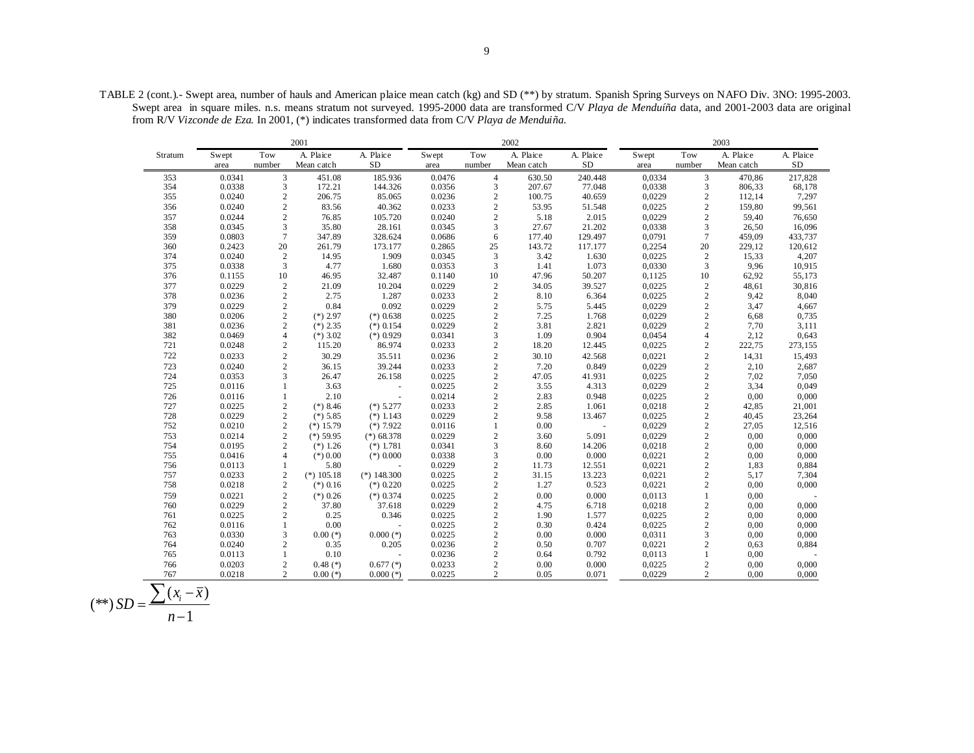TABLE 2 (cont.).- Swept area, number of hauls and American plaice mean catch (kg) and SD (\*\*) by stratum. Spanish Spring Surveys on NAFO Div. 3NO: 1995-2003. Swept area in square miles. n.s. means stratum not surveyed. 1995-2000 data are transformed C/V *Playa de Menduíña* data, and 2001-2003 data are original from R/V *Vizconde de Eza*. In 2001, (\*) indicates transformed data from C/V *Playa de Menduiña.*

|         |        |                | 2001         |               | 2002   |                |            |           | 2003   |                |            |           |
|---------|--------|----------------|--------------|---------------|--------|----------------|------------|-----------|--------|----------------|------------|-----------|
| Stratum | Swept  | Tow            | A. Plaice    | A. Plaice     | Swept  | Tow            | A. Plaice  | A. Plaice | Swept  | Tow            | A. Plaice  | A. Plaice |
|         | area   | number         | Mean catch   | <b>SD</b>     | area   | number         | Mean catch | <b>SD</b> | area   | number         | Mean catch | SD        |
| 353     | 0.0341 | 3              | 451.08       | 185.936       | 0.0476 | $\overline{4}$ | 630.50     | 240.448   | 0,0334 | $\mathfrak{Z}$ | 470,86     | 217,828   |
| 354     | 0.0338 | 3              | 172.21       | 144.326       | 0.0356 | 3              | 207.67     | 77.048    | 0,0338 | 3              | 806,33     | 68,178    |
| 355     | 0.0240 | $\overline{c}$ | 206.75       | 85.065        | 0.0236 | $\sqrt{2}$     | 100.75     | 40.659    | 0,0229 | $\overline{c}$ | 112,14     | 7,297     |
| 356     | 0.0240 | $\overline{c}$ | 83.56        | 40.362        | 0.0233 | $\overline{c}$ | 53.95      | 51.548    | 0,0225 | $\overline{c}$ | 159,80     | 99,561    |
| 357     | 0.0244 | $\overline{2}$ | 76.85        | 105.720       | 0.0240 | $\overline{c}$ | 5.18       | 2.015     | 0,0229 | $\overline{c}$ | 59,40      | 76,650    |
| 358     | 0.0345 | 3              | 35.80        | 28.161        | 0.0345 | 3              | 27.67      | 21.202    | 0,0338 | $\mathfrak{Z}$ | 26,50      | 16,096    |
| 359     | 0.0803 | $\overline{7}$ | 347.89       | 328.624       | 0.0686 | 6              | 177.40     | 129.497   | 0,0791 | $\overline{7}$ | 459,09     | 433,737   |
| 360     | 0.2423 | 20             | 261.79       | 173.177       | 0.2865 | 25             | 143.72     | 117.177   | 0,2254 | 20             | 229,12     | 120,612   |
| 374     | 0.0240 | $\sqrt{2}$     | 14.95        | 1.909         | 0.0345 | $\mathfrak z$  | 3.42       | 1.630     | 0,0225 | $\sqrt{2}$     | 15,33      | 4,207     |
| 375     | 0.0338 | $\overline{3}$ | 4.77         | 1.680         | 0.0353 | 3              | 1.41       | 1.073     | 0,0330 | $\overline{3}$ | 9,96       | 10,915    |
| 376     | 0.1155 | 10             | 46.95        | 32.487        | 0.1140 | 10             | 47.96      | 50.207    | 0,1125 | 10             | 62,92      | 55,173    |
| 377     | 0.0229 | $\sqrt{2}$     | 21.09        | 10.204        | 0.0229 | $\sqrt{2}$     | 34.05      | 39.527    | 0,0225 | $\frac{2}{2}$  | 48,61      | 30,816    |
| 378     | 0.0236 | $\overline{c}$ | 2.75         | 1.287         | 0.0233 | $\overline{2}$ | 8.10       | 6.364     | 0,0225 |                | 9,42       | 8,040     |
| 379     | 0.0229 | $\sqrt{2}$     | 0.84         | 0.092         | 0.0229 | $\sqrt{2}$     | 5.75       | 5.445     | 0,0229 | $\sqrt{2}$     | 3,47       | 4,667     |
| 380     | 0.0206 | $\sqrt{2}$     | $(*)$ 2.97   | $(*)$ 0.638   | 0.0225 | $\sqrt{2}$     | 7.25       | 1.768     | 0,0229 | $\overline{2}$ | 6,68       | 0,735     |
| 381     | 0.0236 | $\overline{2}$ | $(*)$ 2.35   | $(*)$ 0.154   | 0.0229 | $\sqrt{2}$     | 3.81       | 2.821     | 0,0229 | $\overline{c}$ | 7,70       | 3,111     |
| 382     | 0.0469 | $\overline{4}$ | $(*)$ 3.02   | $(*)$ 0.929   | 0.0341 | 3              | 1.09       | 0.904     | 0,0454 | $\overline{4}$ | 2,12       | 0,643     |
| 721     | 0.0248 | $\sqrt{2}$     | 115.20       | 86.974        | 0.0233 | $\sqrt{2}$     | 18.20      | 12.445    | 0,0225 | $\sqrt{2}$     | 222,75     | 273,155   |
| 722     | 0.0233 | $\sqrt{2}$     | 30.29        | 35.511        | 0.0236 | $\sqrt{2}$     | 30.10      | 42.568    | 0,0221 | $\frac{2}{2}$  | 14,31      | 15,493    |
| 723     | 0.0240 | $\overline{2}$ | 36.15        | 39.244        | 0.0233 | $\sqrt{2}$     | 7.20       | 0.849     | 0,0229 |                | 2,10       | 2,687     |
| 724     | 0.0353 | 3              | 26.47        | 26.158        | 0.0225 | $\overline{c}$ | 47.05      | 41.931    | 0,0225 | $\overline{c}$ | 7,02       | 7,050     |
| 725     | 0.0116 | 1              | 3.63         | ÷.            | 0.0225 | $\sqrt{2}$     | 3.55       | 4.313     | 0,0229 | $\sqrt{2}$     | 3,34       | 0,049     |
| 726     | 0.0116 | $\mathbf{1}$   | 2.10         | $\sim$        | 0.0214 | $\overline{c}$ | 2.83       | 0.948     | 0,0225 | $\overline{2}$ | 0,00       | 0,000     |
| 727     | 0.0225 | $\sqrt{2}$     | $(*) 8.46$   | $(*)$ 5.277   | 0.0233 | $\sqrt{2}$     | 2.85       | 1.061     | 0,0218 | $\sqrt{2}$     | 42,85      | 21,001    |
| 728     | 0.0229 | $\sqrt{2}$     | $(*)$ 5.85   | $(*)$ 1.143   | 0.0229 | $\mathbf{2}$   | 9.58       | 13.467    | 0,0225 | $\overline{c}$ | 40,45      | 23,264    |
| 752     | 0.0210 | $\overline{c}$ | $(*) 15.79$  | $(*)$ 7.922   | 0.0116 | $\mathbf{1}$   | 0.00       | $\omega$  | 0,0229 | $\overline{c}$ | 27,05      | 12,516    |
| 753     | 0.0214 | $\overline{2}$ | $(*)$ 59.95  | $(*) 68.378$  | 0.0229 | $\mathbf{2}$   | 3.60       | 5.091     | 0,0229 | $\overline{c}$ | 0,00       | 0,000     |
| 754     | 0.0195 | $\overline{c}$ | $(*) 1.26$   | $(*)$ 1.781   | 0.0341 | $\mathfrak 3$  | 8.60       | 14.206    | 0,0218 | $\frac{2}{2}$  | 0,00       | 0,000     |
| 755     | 0.0416 | $\overline{4}$ | $(*) 0.00$   | $(*)$ 0.000   | 0.0338 | 3              | 0.00       | 0.000     | 0,0221 |                | 0,00       | 0,000     |
| 756     | 0.0113 | 1              | 5.80         |               | 0.0229 | $\sqrt{2}$     | 11.73      | 12.551    | 0,0221 | $\sqrt{2}$     | 1,83       | 0,884     |
| 757     | 0.0233 | $\sqrt{2}$     | $(*) 105.18$ | $(*)$ 148.300 | 0.0225 | $\sqrt{2}$     | 31.15      | 13.223    | 0,0221 | $\sqrt{2}$     | 5,17       | 7,304     |
| 758     | 0.0218 | $\overline{2}$ | $(*)$ 0.16   | $(*)$ 0.220   | 0.0225 | $\sqrt{2}$     | 1.27       | 0.523     | 0,0221 | $\overline{c}$ | 0,00       | 0,000     |
| 759     | 0.0221 | $\sqrt{2}$     | $(*)$ 0.26   | $(*)$ 0.374   | 0.0225 | $\sqrt{2}$     | 0.00       | 0.000     | 0,0113 | $\mathbf{1}$   | 0,00       |           |
| 760     | 0.0229 | $\sqrt{2}$     | 37.80        | 37.618        | 0.0229 | $\sqrt{2}$     | 4.75       | 6.718     | 0,0218 | $\sqrt{2}$     | 0,00       | 0,000     |
| 761     | 0.0225 | $\overline{2}$ | 0.25         | 0.346         | 0.0225 | $\overline{c}$ | 1.90       | 1.577     | 0,0225 | $\overline{c}$ | 0,00       | 0,000     |
| 762     | 0.0116 | $\mathbf{1}$   | 0.00         |               | 0.0225 | $\sqrt{2}$     | 0.30       | 0.424     | 0,0225 | $\overline{c}$ | 0,00       | 0,000     |
| 763     | 0.0330 | 3              | $0.00$ (*)   | $0.000$ (*)   | 0.0225 | $\sqrt{2}$     | 0.00       | 0.000     | 0,0311 | 3              | 0,00       | 0,000     |
| 764     | 0.0240 | $\overline{c}$ | 0.35         | 0.205         | 0.0236 | $\sqrt{2}$     | 0.50       | 0.707     | 0,0221 | $\sqrt{2}$     | 0,63       | 0,884     |
| 765     | 0.0113 | 1              | 0.10         |               | 0.0236 | $\sqrt{2}$     | 0.64       | 0.792     | 0,0113 | $\mathbf{1}$   | 0,00       |           |
| 766     | 0.0203 | $\overline{2}$ | $0.48$ (*)   | $0.677$ (*)   | 0.0233 | $\sqrt{2}$     | 0.00       | 0.000     | 0,0225 | $\sqrt{2}$     | 0,00       | 0,000     |
| 767     | 0.0218 | $\overline{2}$ | $0.00$ (*)   | $0.000$ (*)   | 0.0225 | $\overline{2}$ | 0.05       | 0.071     | 0,0229 | $\overline{2}$ | 0,00       | 0,000     |

$$
(**) SD = \frac{\sum (x_i - \overline{x})}{n-1}
$$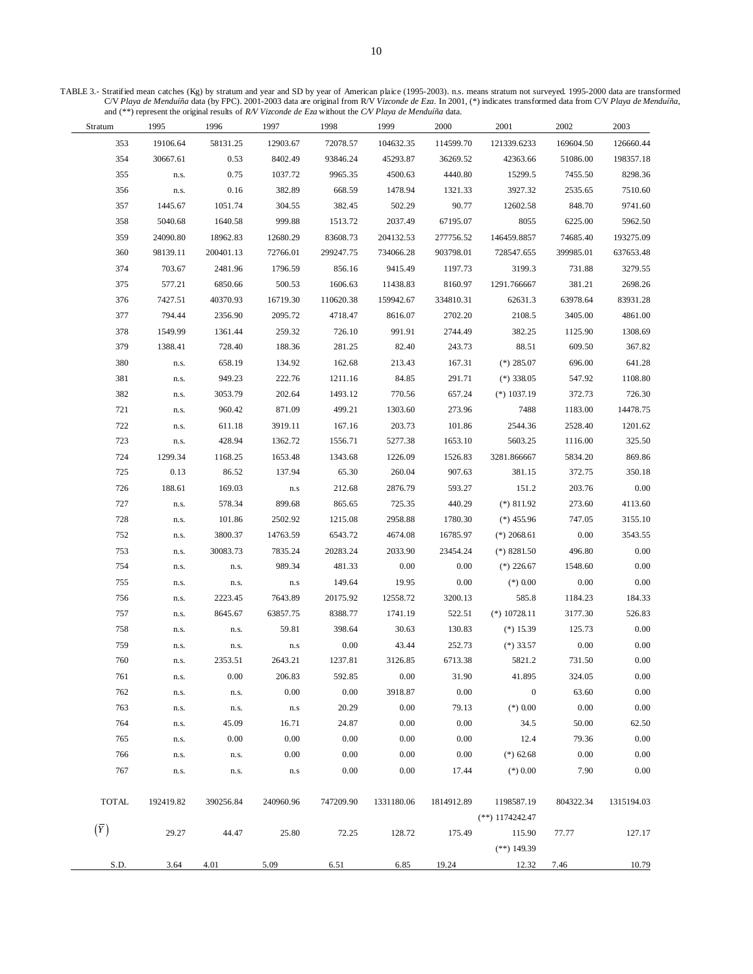TABLE 3.- Stratified mean catches (Kg) by stratum and year and SD by year of American plaice (1995-2003). n.s. means stratum not surveyed. 1995-2000 data are transformed C/V *Playa de Menduíña* data (by FPC). 2001-2003 data are original from R/V *Vizconde de Eza*. In 2001, (\*) indicates transformed data from C/V *Playa de Menduíña*, and (\*\*) represent the original results of *R/V Vizconde de Eza* without the *C/V Playa de Menduíña* data.

 $\overline{\phantom{0}}$ 

 $\overline{\phantom{0}}$ 

| Stratum      | 1995      | 1996      | 1997                    | 1998      | 1999       | 2000       | 2001              | 2002      | 2003       |
|--------------|-----------|-----------|-------------------------|-----------|------------|------------|-------------------|-----------|------------|
| 353          | 19106.64  | 58131.25  | 12903.67                | 72078.57  | 104632.35  | 114599.70  | 121339.6233       | 169604.50 | 126660.44  |
| 354          | 30667.61  | 0.53      | 8402.49                 | 93846.24  | 45293.87   | 36269.52   | 42363.66          | 51086.00  | 198357.18  |
| 355          | n.s.      | 0.75      | 1037.72                 | 9965.35   | 4500.63    | 4440.80    | 15299.5           | 7455.50   | 8298.36    |
| 356          | n.s.      | 0.16      | 382.89                  | 668.59    | 1478.94    | 1321.33    | 3927.32           | 2535.65   | 7510.60    |
| 357          | 1445.67   | 1051.74   | 304.55                  | 382.45    | 502.29     | 90.77      | 12602.58          | 848.70    | 9741.60    |
| 358          | 5040.68   | 1640.58   | 999.88                  | 1513.72   | 2037.49    | 67195.07   | 8055              | 6225.00   | 5962.50    |
| 359          | 24090.80  | 18962.83  | 12680.29                | 83608.73  | 204132.53  | 277756.52  | 146459.8857       | 74685.40  | 193275.09  |
| 360          | 98139.11  | 200401.13 | 72766.01                | 299247.75 | 734066.28  | 903798.01  | 728547.655        | 399985.01 | 637653.48  |
| 374          | 703.67    | 2481.96   | 1796.59                 | 856.16    | 9415.49    | 1197.73    | 3199.3            | 731.88    | 3279.55    |
| 375          | 577.21    | 6850.66   | 500.53                  | 1606.63   | 11438.83   | 8160.97    | 1291.766667       | 381.21    | 2698.26    |
| 376          | 7427.51   | 40370.93  | 16719.30                | 110620.38 | 159942.67  | 334810.31  | 62631.3           | 63978.64  | 83931.28   |
| 377          | 794.44    | 2356.90   | 2095.72                 | 4718.47   | 8616.07    | 2702.20    | 2108.5            | 3405.00   | 4861.00    |
| 378          | 1549.99   | 1361.44   | 259.32                  | 726.10    | 991.91     | 2744.49    | 382.25            | 1125.90   | 1308.69    |
| 379          | 1388.41   | 728.40    | 188.36                  | 281.25    | 82.40      | 243.73     | 88.51             | 609.50    | 367.82     |
| 380          | n.s.      | 658.19    | 134.92                  | 162.68    | 213.43     | 167.31     | $(*)$ 285.07      | 696.00    | 641.28     |
| 381          | n.s.      | 949.23    | 222.76                  | 1211.16   | 84.85      | 291.71     | $(*)$ 338.05      | 547.92    | 1108.80    |
| 382          | n.s.      | 3053.79   | 202.64                  | 1493.12   | 770.56     | 657.24     | $(*)$ 1037.19     | 372.73    | 726.30     |
| 721          | n.s.      | 960.42    | 871.09                  | 499.21    | 1303.60    | 273.96     | 7488              | 1183.00   | 14478.75   |
| 722          | n.s.      | 611.18    | 3919.11                 | 167.16    | 203.73     | 101.86     | 2544.36           | 2528.40   | 1201.62    |
| 723          | n.s.      | 428.94    | 1362.72                 | 1556.71   | 5277.38    | 1653.10    | 5603.25           | 1116.00   | 325.50     |
| 724          | 1299.34   | 1168.25   | 1653.48                 | 1343.68   | 1226.09    | 1526.83    | 3281.866667       | 5834.20   | 869.86     |
| 725          | 0.13      | 86.52     | 137.94                  | 65.30     | 260.04     | 907.63     | 381.15            | 372.75    | 350.18     |
| 726          | 188.61    | 169.03    | ${\bf n}.{\bf s}$       | 212.68    | 2876.79    | 593.27     | 151.2             | 203.76    | $0.00\,$   |
| 727          | n.s.      | 578.34    | 899.68                  | 865.65    | 725.35     | 440.29     | $(*) 811.92$      | 273.60    | 4113.60    |
| 728          | n.s.      | 101.86    | 2502.92                 | 1215.08   | 2958.88    | 1780.30    | $(*)$ 455.96      | 747.05    | 3155.10    |
| 752          | n.s.      | 3800.37   | 14763.59                | 6543.72   | 4674.08    | 16785.97   | $(*)$ 2068.61     | 0.00      | 3543.55    |
| 753          | n.s.      | 30083.73  | 7835.24                 | 20283.24  | 2033.90    | 23454.24   | $(*)$ 8281.50     | 496.80    | 0.00       |
| 754          | n.s.      | n.s.      | 989.34                  | 481.33    | 0.00       | 0.00       | $(*)$ 226.67      | 1548.60   | 0.00       |
| 755          | n.s.      | n.s.      | ${\bf n}.{\bf s}$       | 149.64    | 19.95      | $0.00\,$   | $(*)$ 0.00        | 0.00      | 0.00       |
| 756          | n.s.      | 2223.45   | 7643.89                 | 20175.92  | 12558.72   | 3200.13    | 585.8             | 1184.23   | 184.33     |
| 757          | n.s.      | 8645.67   | 63857.75                | 8388.77   | 1741.19    | 522.51     | $(*) 10728.11$    | 3177.30   | 526.83     |
| 758          | n.s.      | n.s.      | 59.81                   | 398.64    | 30.63      | 130.83     | $(*)$ 15.39       | 125.73    | $0.00\,$   |
| 759          | n.s.      | n.s.      | $\mathbf{n}.\mathbf{s}$ | 0.00      | 43.44      | 252.73     | $(*)$ 33.57       | 0.00      | $0.00\,$   |
| 760          | n.s.      | 2353.51   | 2643.21                 | 1237.81   | 3126.85    | 6713.38    | 5821.2            | 731.50    | 0.00       |
| 761          | n.s.      | 0.00      | 206.83                  | 592.85    | 0.00       | 31.90      | 41.895            | 324.05    | 0.00       |
| 762          | n.s.      | n.s.      | 0.00                    | 0.00      | 3918.87    | 0.00       | $\mathbf{0}$      | 63.60     | $0.00\,$   |
| 763          | n.s.      | n.s.      | $\mathbf{n}.\mathbf{s}$ | 20.29     | 0.00       | 79.13      | $(*)$ 0.00        | 0.00      | 0.00       |
| 764          | n.s.      | 45.09     | 16.71                   | 24.87     | $0.00\,$   | 0.00       | 34.5              | 50.00     | 62.50      |
| 765          | n.s.      | 0.00      | 0.00                    | 0.00      | 0.00       | 0.00       | 12.4              | 79.36     | 0.00       |
| 766          | n.s.      | n.s.      | 0.00                    | 0.00      | 0.00       | 0.00       | $(*)$ 62.68       | 0.00      | 0.00       |
| 767          | n.s.      | n.s.      | n.s                     | 0.00      | 0.00       | 17.44      | $(*) 0.00$        | 7.90      | $0.00\,$   |
|              |           |           |                         |           |            |            |                   |           |            |
| <b>TOTAL</b> | 192419.82 | 390256.84 | 240960.96               | 747209.90 | 1331180.06 | 1814912.89 | 1198587.19        | 804322.34 | 1315194.03 |
|              |           |           |                         |           |            |            | $(**)$ 1174242.47 |           |            |
| $(\bar{Y})$  | 29.27     | 44.47     | 25.80                   | 72.25     | 128.72     | 175.49     | 115.90            | 77.77     | 127.17     |
|              |           |           |                         |           |            |            | $(**)$ 149.39     |           |            |
| S.D.         | 3.64      | 4.01      | 5.09                    | 6.51      | 6.85       | 19.24      | 12.32             | 7.46      | 10.79      |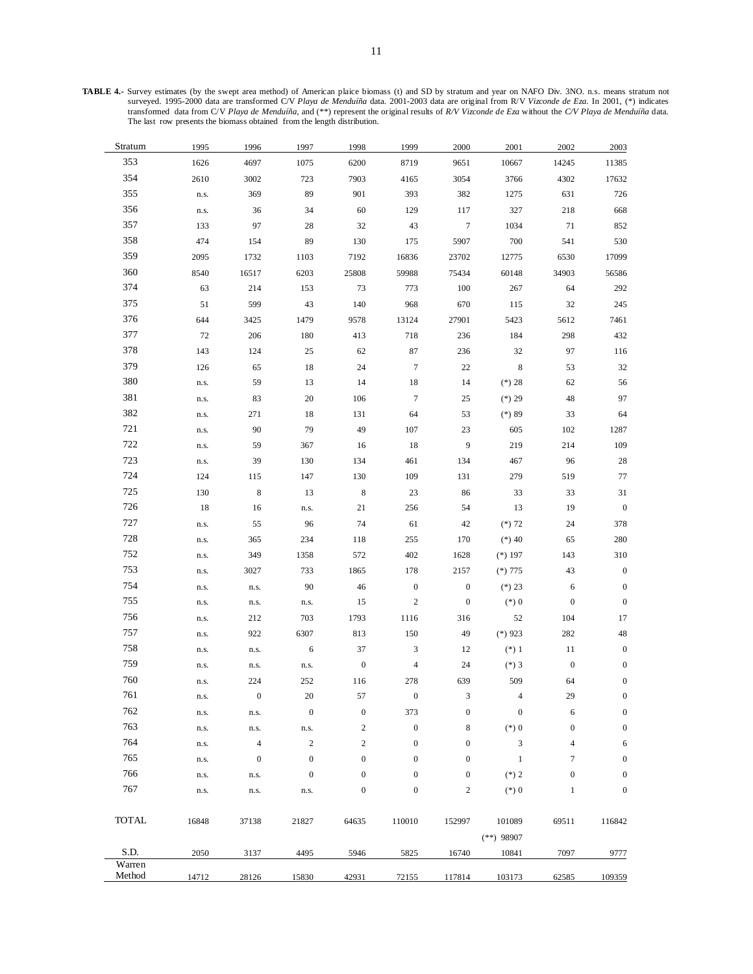**TABLE 4.-** Survey estimates (by the swept area method) of American plaice biomass (t) and SD by stratum and year on NAFO Div. 3NO. n.s. means stratum not surveyed. 1995-2000 data are transformed C/V *Playa de Menduíña* data. 2001-2003 data are original from R/V *Vizconde de Eza*. In 2001, (\*) indicates transformed data from C/V *Playa de Menduíña*, and (\*\*) represent the original results of *R/V Vizconde de Eza* without the *C/V Playa de Menduíña* data. The last row presents the biomass obtained from the length distribution.

| 2003             | 2002             | 2001                   | 2000             | 1999             | 1998                   | 1997             | 1996             | 1995  | Stratum          |
|------------------|------------------|------------------------|------------------|------------------|------------------------|------------------|------------------|-------|------------------|
| 11385            | 14245            | 10667                  | 9651             | 8719             | 6200                   | 1075             | 4697             | 1626  | 353              |
| 17632            | 4302             | 3766                   | 3054             | 4165             | 7903                   | 723              | 3002             | 2610  | 354              |
| 726              | 631              | 1275                   | 382              | 393              | 901                    | 89               | 369              | n.s.  | 355              |
| 668              | 218              | 327                    | 117              | 129              | 60                     | 34               | 36               | n.s.  | 356              |
| 852              | 71               | 1034                   | $7\phantom{.0}$  | 43               | 32                     | 28               | 97               | 133   | 357              |
| 530              | 541              | 700                    | 5907             | 175              | 130                    | 89               | 154              | 474   | 358              |
| 17099            | 6530             | 12775                  | 23702            | 16836            | 7192                   | 1103             | 1732             | 2095  | 359              |
| 56586            | 34903            | 60148                  | 75434            | 59988            | 25808                  | 6203             | 16517            | 8540  | 360              |
| 292              | 64               | 267                    | 100              | 773              | 73                     | 153              | 214              | 63    | 374              |
| 245              | 32               | 115                    | 670              | 968              | 140                    | 43               | 599              | 51    | 375              |
| 7461             | 5612             | 5423                   | 27901            | 13124            | 9578                   | 1479             | 3425             | 644   | 376              |
| 432              | 298              | 184                    | 236              | 718              | 413                    | 180              | 206              | 72    | 377              |
| 116              | 97               | 32                     | 236              | 87               | 62                     | 25               | 124              | 143   | 378              |
| 32               | 53               | 8                      | 22               | $\boldsymbol{7}$ | 24                     | 18               | 65               | 126   | 379              |
| 56               | 62               | $(*) 28$               | 14               | 18               | 14                     | 13               | 59               | n.s.  | 380              |
| 97               | 48               | $(*) 29$               | 25               | $\boldsymbol{7}$ | 106                    | 20               | 83               | n.s.  | 381              |
| 64               | 33               | $(*) 89$               | 53               | 64               | 131                    | 18               | 271              | n.s.  | 382              |
| 1287             | 102              | 605                    | 23               | 107              | 49                     | 79               | 90               | n.s.  | 721              |
| 109              | 214              | 219                    | $\overline{9}$   | 18               | 16                     | 367              | 59               | n.s.  | 722              |
| 28               | 96               | 467                    | 134              | 461              | 134                    | 130              | 39               | n.s.  | 723              |
| 77               | 519              | 279                    | 131              | 109              | 130                    | 147              | 115              | 124   | 724              |
| 31               | 33               | 33                     | 86               | 23               | $\,8\,$                | 13               | $\,8\,$          | 130   | 725              |
| $\boldsymbol{0}$ | 19               | 13                     | 54               | 256              | 21                     | n.s.             | 16               | 18    | 726              |
| 378              | 24               | $(*) 72$               | 42               | 61               | 74                     | 96               | 55               | n.s.  | 727              |
| 280              | 65               | $(*) 40$               | 170              | 255              | 118                    | 234              | 365              | n.s.  | 728              |
| 310              | 143              | $(*) 197$              | 1628             | 402              | 572                    | 1358             | 349              | n.s.  | 752              |
| $\boldsymbol{0}$ | 43               | $(*)775$               | 2157             | 178              | 1865                   | 733              | 3027             | n.s.  | 753              |
| $\boldsymbol{0}$ | 6                | $(*) 23$               | $\boldsymbol{0}$ | $\boldsymbol{0}$ | 46                     | 90               | n.s.             | n.s.  | 754              |
| $\boldsymbol{0}$ | $\boldsymbol{0}$ | $(*) 0$                | $\boldsymbol{0}$ | $\boldsymbol{2}$ | 15                     | n.s.             | n.s.             | n.s.  | 755              |
| 17               | 104              | 52                     | 316              | 1116             | 1793                   | 703              | 212              |       | 756              |
| 48               | 282              | $(*)$ 923              | 49               | 150              | 813                    | 6307             | 922              | n.s.  | 757              |
|                  |                  |                        |                  |                  |                        |                  |                  | n.s.  | 758              |
| $\boldsymbol{0}$ | 11               | $(*) 1$                | 12               | 3                | 37<br>$\boldsymbol{0}$ | 6                | n.s.             | n.s.  | 759              |
| $\boldsymbol{0}$ | $\boldsymbol{0}$ | $(*)3$                 | 24               | $\overline{4}$   |                        | n.s.             | n.s.             | n.s.  | 760              |
| $\boldsymbol{0}$ | 64               | 509                    | 639              | 278              | 116                    | 252              | 224              | n.s.  | 761              |
| $\theta$         | 29               | 4                      | 3                | $\theta$         | 57                     | 20               | $\theta$         | n.s.  | 762              |
| $\boldsymbol{0}$ | 6                | $\boldsymbol{0}$       | $\boldsymbol{0}$ | 373              | $\boldsymbol{0}$       | $\boldsymbol{0}$ | n.s.             | n.s.  | 763              |
| $\boldsymbol{0}$ | $\boldsymbol{0}$ | $(*) 0$                | 8                | $\boldsymbol{0}$ | $\boldsymbol{2}$       | n.s.             | n.s.             | n.s.  |                  |
| 6                | $\overline{4}$   | 3                      | $\boldsymbol{0}$ | $\boldsymbol{0}$ | $\mathbf{2}$           | $\sqrt{2}$       | $\overline{4}$   | n.s.  | 764              |
| $\boldsymbol{0}$ | 7                | $\mathbf{1}$           | $\boldsymbol{0}$ | $\boldsymbol{0}$ | $\boldsymbol{0}$       | $\boldsymbol{0}$ | $\boldsymbol{0}$ | n.s.  | 765              |
| $\boldsymbol{0}$ | $\boldsymbol{0}$ | $(*) 2$                | $\boldsymbol{0}$ | $\boldsymbol{0}$ | $\boldsymbol{0}$       | $\boldsymbol{0}$ | n.s.             | n.s.  | 766              |
| $\boldsymbol{0}$ | $\mathbf{1}$     | $(*) 0$                | $\sqrt{2}$       | $\boldsymbol{0}$ | $\boldsymbol{0}$       | n.s.             | n.s.             | n.s.  | 767              |
| 116842           | 69511            | 101089<br>$(**)$ 98907 | 152997           | 110010           | 64635                  | 21827            | 37138            | 16848 | TOTAL            |
| 9777             | 7097             | 10841                  | 16740            | 5825             | 5946                   | 4495             | 3137             | 2050  | S.D.             |
| 109359           | 62585            | 103173                 | 117814           | 72155            | 42931                  | 15830            | 28126            | 14712 | Warren<br>Method |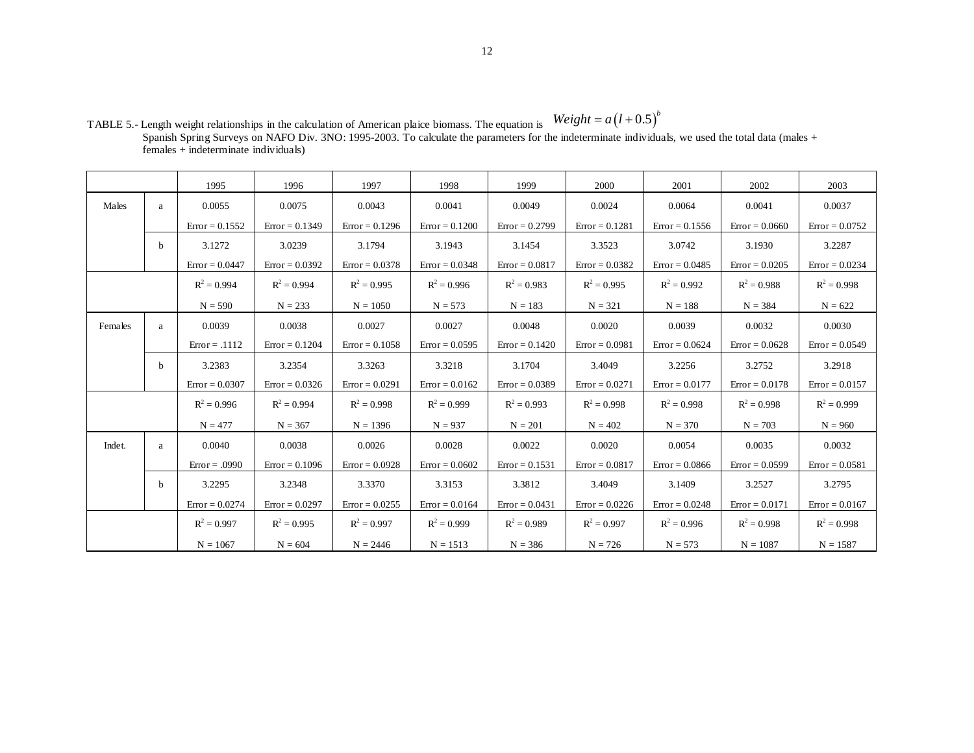|         |   | 1995             | 1996             | 1997             | 1998             | 1999             | 2000             | 2001             | 2002             | 2003             |
|---------|---|------------------|------------------|------------------|------------------|------------------|------------------|------------------|------------------|------------------|
| Males   | a | 0.0055           | 0.0075           | 0.0043           | 0.0041           | 0.0049           | 0.0024           | 0.0064           | 0.0041           | 0.0037           |
|         |   | $Error = 0.1552$ | $Error = 0.1349$ | $Error = 0.1296$ | $Error = 0.1200$ | $Error = 0.2799$ | $Error = 0.1281$ | $Error = 0.1556$ | $Error = 0.0660$ | $Error = 0.0752$ |
|         | b | 3.1272           | 3.0239           | 3.1794           | 3.1943           | 3.1454           | 3.3523           | 3.0742           | 3.1930           | 3.2287           |
|         |   | $Error = 0.0447$ | $Error = 0.0392$ | $Error = 0.0378$ | $Error = 0.0348$ | $Error = 0.0817$ | $Error = 0.0382$ | $Error = 0.0485$ | $Error = 0.0205$ | $Error = 0.0234$ |
|         |   | $R^2 = 0.994$    | $R^2 = 0.994$    | $R^2 = 0.995$    | $R^2 = 0.996$    | $R^2 = 0.983$    | $R^2 = 0.995$    | $R^2 = 0.992$    | $R^2 = 0.988$    | $R^2 = 0.998$    |
|         |   | $N = 590$        | $N = 233$        | $N = 1050$       | $N = 573$        | $N = 183$        | $N = 321$        | $N = 188$        | $N = 384$        | $N = 622$        |
| Females | a | 0.0039           | 0.0038           | 0.0027           | 0.0027           | 0.0048           | 0.0020           | 0.0039           | 0.0032           | 0.0030           |
|         |   | $Error = .1112$  | $Error = 0.1204$ | $Error = 0.1058$ | $Error = 0.0595$ | $Error = 0.1420$ | $Error = 0.0981$ | $Error = 0.0624$ | $Error = 0.0628$ | $Error = 0.0549$ |
|         | b | 3.2383           | 3.2354           | 3.3263           | 3.3218           | 3.1704           | 3.4049           | 3.2256           | 3.2752           | 3.2918           |
|         |   | $Error = 0.0307$ | $Error = 0.0326$ | $Error = 0.0291$ | $Error = 0.0162$ | $Error = 0.0389$ | $Error = 0.0271$ | $Error = 0.0177$ | $Error = 0.0178$ | $Error = 0.0157$ |
|         |   | $R^2 = 0.996$    | $R^2 = 0.994$    | $R^2 = 0.998$    | $R^2 = 0.999$    | $R^2 = 0.993$    | $R^2 = 0.998$    | $R^2 = 0.998$    | $R^2 = 0.998$    | $R^2 = 0.999$    |
|         |   | $N = 477$        | $N = 367$        | $N = 1396$       | $N = 937$        | $N = 201$        | $N = 402$        | $N = 370$        | $N = 703$        | $N = 960$        |
| Indet.  | a | 0.0040           | 0.0038           | 0.0026           | 0.0028           | 0.0022           | 0.0020           | 0.0054           | 0.0035           | 0.0032           |
|         |   | $Error = .0990$  | $Error = 0.1096$ | $Error = 0.0928$ | $Error = 0.0602$ | $Error = 0.1531$ | $Error = 0.0817$ | $Error = 0.0866$ | $Error = 0.0599$ | $Error = 0.0581$ |
|         | b | 3.2295           | 3.2348           | 3.3370           | 3.3153           | 3.3812           | 3.4049           | 3.1409           | 3.2527           | 3.2795           |
|         |   | $Error = 0.0274$ | $Error = 0.0297$ | $Error = 0.0255$ | $Error = 0.0164$ | $Error = 0.0431$ | $Error = 0.0226$ | $Error = 0.0248$ | $Error = 0.0171$ | $Error = 0.0167$ |
|         |   | $R^2 = 0.997$    | $R^2 = 0.995$    | $R^2 = 0.997$    | $R^2 = 0.999$    | $R^2 = 0.989$    | $R^2 = 0.997$    | $R^2 = 0.996$    | $R^2 = 0.998$    | $R^2 = 0.998$    |
|         |   | $N = 1067$       | $N = 604$        | $N = 2446$       | $N = 1513$       | $N = 386$        | $N = 726$        | $N = 573$        | $N = 1087$       | $N = 1587$       |

TABLE 5.- Length weight relationships in the calculation of American plaice biomass. The equation is Spanish Spring Surveys on NAFO Div. 3NO: 1995-2003. To calculate the parameters for the indeterminate individuals, we used the total data (males + females + indeterminate individuals)  $Weight = a(l + 0.5)^b$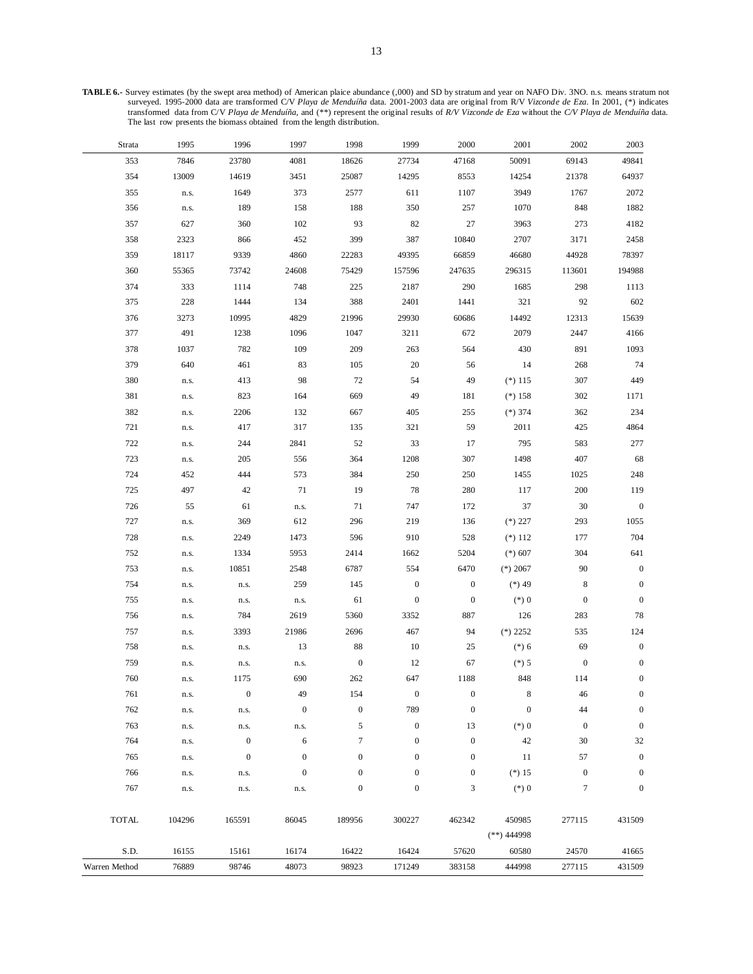**TABLE 6.-** Survey estimates (by the swept area method) of American plaice abundance (,000) and SD by stratum and year on NAFO Div. 3NO. n.s. means stratum not surveyed. 1995-2000 data are transformed C/V *Playa de Menduíña* data. 2001-2003 data are original from R/V *Vizconde de Eza*. In 2001, (\*) indicates transformed data from C/V *Playa de Menduíña*, and (\*\*) represent the original results of *R/V Vizconde de Eza* without the *C/V Playa de Menduíña* data. The last row presents the biomass obtained from the length distribution.

| Strata        | 1995   | 1996             | 1997             | 1998             | 1999             | 2000             | 2001             | 2002             | 2003             |
|---------------|--------|------------------|------------------|------------------|------------------|------------------|------------------|------------------|------------------|
| 353           | 7846   | 23780            | 4081             | 18626            | 27734            | 47168            | 50091            | 69143            | 49841            |
| 354           | 13009  | 14619            | 3451             | 25087            | 14295            | 8553             | 14254            | 21378            | 64937            |
| 355           | n.s.   | 1649             | 373              | 2577             | 611              | 1107             | 3949             | 1767             | 2072             |
| 356           | n.s.   | 189              | 158              | 188              | 350              | 257              | 1070             | 848              | 1882             |
| 357           | 627    | 360              | 102              | 93               | 82               | 27               | 3963             | 273              | 4182             |
| 358           | 2323   | 866              | 452              | 399              | 387              | 10840            | 2707             | 3171             | 2458             |
| 359           | 18117  | 9339             | 4860             | 22283            | 49395            | 66859            | 46680            | 44928            | 78397            |
| 360           | 55365  | 73742            | 24608            | 75429            | 157596           | 247635           | 296315           | 113601           | 194988           |
| 374           | 333    | 1114             | 748              | 225              | 2187             | 290              | 1685             | 298              | 1113             |
| 375           | 228    | 1444             | 134              | 388              | 2401             | 1441             | 321              | 92               | 602              |
| 376           | 3273   | 10995            | 4829             | 21996            | 29930            | 60686            | 14492            | 12313            | 15639            |
| 377           | 491    | 1238             | 1096             | 1047             | 3211             | 672              | 2079             | 2447             | 4166             |
| 378           | 1037   | 782              | 109              | 209              | 263              | 564              | 430              | 891              | 1093             |
| 379           | 640    | 461              | 83               | 105              | 20               | 56               | 14               | 268              | 74               |
| 380           | n.s.   | 413              | 98               | 72               | 54               | 49               | $(*)115$         | 307              | 449              |
| 381           | n.s.   | 823              | 164              | 669              | 49               | 181              | $(*)158$         | 302              | 1171             |
| 382           | n.s.   | 2206             | 132              | 667              | 405              | 255              | $(*) 374$        | 362              | 234              |
| 721           | n.s.   | 417              | 317              | 135              | 321              | 59               | 2011             | 425              | 4864             |
| 722           | n.s.   | 244              | 2841             | 52               | 33               | 17               | 795              | 583              | 277              |
| 723           | n.s.   | 205              | 556              | 364              | 1208             | 307              | 1498             | 407              | 68               |
| 724           | 452    | 444              | 573              | 384              | 250              | 250              | 1455             | 1025             | 248              |
| 725           | 497    | 42               | 71               | 19               | 78               | 280              | 117              | 200              | 119              |
| 726           | 55     | 61               | n.s.             | 71               | 747              | 172              | 37               | 30               | $\boldsymbol{0}$ |
| 727           | n.s.   | 369              | 612              | 296              | 219              | 136              | $(*) 227$        | 293              | 1055             |
| 728           | n.s.   | 2249             | 1473             | 596              | 910              | 528              | $(*) 112$        | 177              | 704              |
| 752           | n.s.   | 1334             | 5953             | 2414             | 1662             | 5204             | $(*) 607$        | 304              | 641              |
| 753           | n.s.   | 10851            | 2548             | 6787             | 554              | 6470             | $(*) 2067$       | 90               | $\boldsymbol{0}$ |
| 754           | n.s.   | n.s.             | 259              | 145              | $\boldsymbol{0}$ | $\boldsymbol{0}$ | $(*) 49$         | $\,$ 8 $\,$      | $\boldsymbol{0}$ |
| 755           | n.s.   | n.s.             | n.s.             | 61               | $\boldsymbol{0}$ | $\boldsymbol{0}$ | $(*) 0$          | $\boldsymbol{0}$ | $\boldsymbol{0}$ |
| 756           | n.s.   | 784              | 2619             | 5360             | 3352             | 887              | 126              | 283              | 78               |
| 757           | n.s.   | 3393             | 21986            | 2696             | 467              | 94               | $(*)$ 2252       | 535              | 124              |
| 758           | n.s.   | n.s.             | 13               | 88               | $10\,$           | 25               | $(*) 6$          | 69               | $\boldsymbol{0}$ |
| 759           | n.s.   | n.s.             | n.s.             | $\boldsymbol{0}$ | 12               | 67               | $(*) 5$          | $\boldsymbol{0}$ | $\boldsymbol{0}$ |
| 760           | n.s.   | 1175             | 690              | 262              | 647              | 1188             | 848              | 114              | $\boldsymbol{0}$ |
| 761           | n.s.   | $\boldsymbol{0}$ | 49               | 154              | $\boldsymbol{0}$ | $\bf{0}$         | 8                | 46               | $\boldsymbol{0}$ |
| 762           | n.s.   | n.s.             | $\boldsymbol{0}$ | $\boldsymbol{0}$ | 789              | $\boldsymbol{0}$ | $\boldsymbol{0}$ | 44               | $\boldsymbol{0}$ |
| 763           | n.s.   | n.s.             | n.s.             | 5                | $\boldsymbol{0}$ | 13               | $(*)0$           | $\boldsymbol{0}$ | $\boldsymbol{0}$ |
| 764           | n.s.   | $\boldsymbol{0}$ | 6                | $\tau$           | $\boldsymbol{0}$ | $\boldsymbol{0}$ | 42               | 30               | 32               |
| 765           | n.s.   | $\boldsymbol{0}$ | $\boldsymbol{0}$ | $\mathbf{0}$     | $\boldsymbol{0}$ | $\boldsymbol{0}$ | 11               | 57               | $\boldsymbol{0}$ |
| 766           | n.s.   | n.s.             | $\boldsymbol{0}$ | $\mathbf{0}$     | $\boldsymbol{0}$ | $\boldsymbol{0}$ | $(*) 15$         | $\boldsymbol{0}$ | $\boldsymbol{0}$ |
| 767           | n.s.   | n.s.             | n.s.             | $\boldsymbol{0}$ | $\boldsymbol{0}$ | 3                | $(*) 0$          | 7                | $\boldsymbol{0}$ |
|               |        |                  |                  |                  |                  |                  |                  |                  |                  |
| <b>TOTAL</b>  | 104296 | 165591           | 86045            | 189956           | 300227           | 462342           | 450985           | 277115           | 431509           |
|               |        |                  |                  |                  |                  |                  | $(**)$ 444998    |                  |                  |
| S.D.          | 16155  | 15161            | 16174            | 16422            | 16424            | 57620            | 60580            | 24570            | 41665            |
| Warren Method | 76889  | 98746            | 48073            | 98923            | 171249           | 383158           | 444998           | 277115           | 431509           |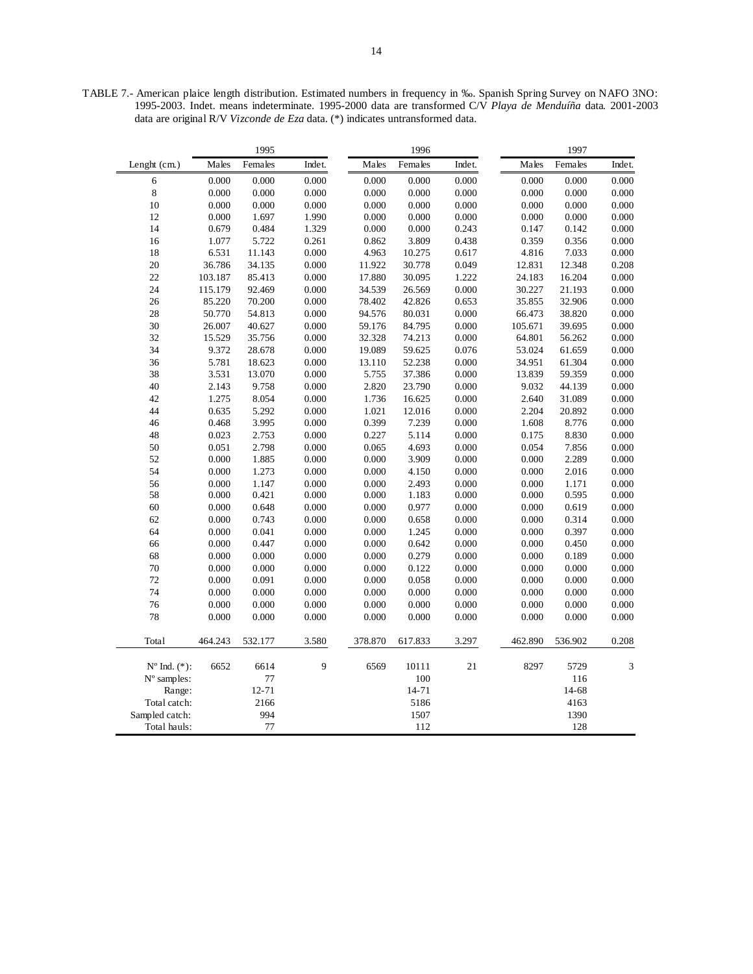TABLE 7.- American plaice length distribution. Estimated numbers in frequency in ‰. Spanish Spring Survey on NAFO 3NO: 1995-2003. Indet. means indeterminate. 1995-2000 data are transformed C/V *Playa de Menduíña* data. 2001-2003 data are original R/V *Vizconde de Eza* data. (\*) indicates untransformed data.

|                          |         | 1995    |        |         | 1996    |        |           | 1997    |        |
|--------------------------|---------|---------|--------|---------|---------|--------|-----------|---------|--------|
| Lenght (cm.)             | Males   | Females | Indet. | Males   | Females | Indet. | Males     | Females | Indet. |
| 6                        | 0.000   | 0.000   | 0.000  | 0.000   | 0.000   | 0.000  | 0.000     | 0.000   | 0.000  |
| 8                        | 0.000   | 0.000   | 0.000  | 0.000   | 0.000   | 0.000  | 0.000     | 0.000   | 0.000  |
| 10                       | 0.000   | 0.000   | 0.000  | 0.000   | 0.000   | 0.000  | 0.000     | 0.000   | 0.000  |
| 12                       | 0.000   | 1.697   | 1.990  | 0.000   | 0.000   | 0.000  | 0.000     | 0.000   | 0.000  |
| 14                       | 0.679   | 0.484   | 1.329  | 0.000   | 0.000   | 0.243  | 0.147     | 0.142   | 0.000  |
| 16                       | 1.077   | 5.722   | 0.261  | 0.862   | 3.809   | 0.438  | 0.359     | 0.356   | 0.000  |
| 18                       | 6.531   | 11.143  | 0.000  | 4.963   | 10.275  | 0.617  | 4.816     | 7.033   | 0.000  |
| 20                       | 36.786  | 34.135  | 0.000  | 11.922  | 30.778  | 0.049  | 12.831    | 12.348  | 0.208  |
| 22                       | 103.187 | 85.413  | 0.000  | 17.880  | 30.095  | 1.222  | 24.183    | 16.204  | 0.000  |
| 24                       | 115.179 | 92.469  | 0.000  | 34.539  | 26.569  | 0.000  | 30.227    | 21.193  | 0.000  |
| 26                       | 85.220  | 70.200  | 0.000  | 78.402  | 42.826  | 0.653  | 35.855    | 32.906  | 0.000  |
| 28                       | 50.770  | 54.813  | 0.000  | 94.576  | 80.031  | 0.000  | 66.473    | 38.820  | 0.000  |
| 30                       | 26.007  | 40.627  | 0.000  | 59.176  | 84.795  | 0.000  | 105.671   | 39.695  | 0.000  |
| 32                       | 15.529  | 35.756  | 0.000  | 32.328  | 74.213  | 0.000  | 64.801    | 56.262  | 0.000  |
| 34                       | 9.372   | 28.678  | 0.000  | 19.089  | 59.625  | 0.076  | 53.024    | 61.659  | 0.000  |
| 36                       | 5.781   | 18.623  | 0.000  | 13.110  | 52.238  | 0.000  | 34.951    | 61.304  | 0.000  |
| 38                       | 3.531   | 13.070  | 0.000  | 5.755   | 37.386  | 0.000  | 13.839    | 59.359  | 0.000  |
| 40                       | 2.143   | 9.758   | 0.000  | 2.820   | 23.790  | 0.000  | 9.032     | 44.139  | 0.000  |
| 42                       | 1.275   | 8.054   | 0.000  | 1.736   | 16.625  | 0.000  | 2.640     | 31.089  | 0.000  |
| 44                       | 0.635   | 5.292   | 0.000  | 1.021   | 12.016  | 0.000  | 2.204     | 20.892  | 0.000  |
| 46                       | 0.468   | 3.995   | 0.000  | 0.399   | 7.239   | 0.000  | 1.608     | 8.776   | 0.000  |
| 48                       | 0.023   | 2.753   | 0.000  | 0.227   | 5.114   | 0.000  | 0.175     | 8.830   | 0.000  |
| 50                       | 0.051   | 2.798   | 0.000  | 0.065   | 4.693   | 0.000  | 0.054     | 7.856   | 0.000  |
| 52                       | 0.000   | 1.885   | 0.000  | 0.000   | 3.909   | 0.000  | 0.000     | 2.289   | 0.000  |
| 54                       | 0.000   | 1.273   | 0.000  | 0.000   | 4.150   | 0.000  | $0.000\,$ | 2.016   | 0.000  |
| 56                       | 0.000   | 1.147   | 0.000  | 0.000   | 2.493   | 0.000  | 0.000     | 1.171   | 0.000  |
| 58                       | 0.000   | 0.421   | 0.000  | 0.000   | 1.183   | 0.000  | 0.000     | 0.595   | 0.000  |
| 60                       | 0.000   | 0.648   | 0.000  | 0.000   | 0.977   | 0.000  | 0.000     | 0.619   | 0.000  |
| 62                       | 0.000   | 0.743   | 0.000  | 0.000   | 0.658   | 0.000  | 0.000     | 0.314   | 0.000  |
| 64                       | 0.000   | 0.041   | 0.000  | 0.000   | 1.245   | 0.000  | 0.000     | 0.397   | 0.000  |
| 66                       | 0.000   | 0.447   | 0.000  | 0.000   | 0.642   | 0.000  | 0.000     | 0.450   | 0.000  |
| 68                       | 0.000   | 0.000   | 0.000  | 0.000   | 0.279   | 0.000  | 0.000     | 0.189   | 0.000  |
| 70                       | 0.000   | 0.000   | 0.000  | 0.000   | 0.122   | 0.000  | 0.000     | 0.000   | 0.000  |
| 72                       | 0.000   | 0.091   | 0.000  | 0.000   | 0.058   | 0.000  | 0.000     | 0.000   | 0.000  |
| 74                       | 0.000   | 0.000   | 0.000  | 0.000   | 0.000   | 0.000  | 0.000     | 0.000   | 0.000  |
| 76                       | 0.000   | 0.000   | 0.000  | 0.000   | 0.000   | 0.000  | 0.000     | 0.000   | 0.000  |
| 78                       | 0.000   | 0.000   | 0.000  | 0.000   | 0.000   | 0.000  | 0.000     | 0.000   | 0.000  |
|                          |         |         |        |         |         |        |           |         |        |
| Total                    | 464.243 | 532.177 | 3.580  | 378.870 | 617.833 | 3.297  | 462.890   | 536.902 | 0.208  |
| $N^{\circ}$ Ind. $(*)$ : | 6652    | 6614    | 9      | 6569    | 10111   | 21     | 8297      | 5729    | 3      |
| N° samples:              |         | 77      |        |         | 100     |        |           | 116     |        |
| Range:                   |         | 12-71   |        |         | 14-71   |        |           | 14-68   |        |
| Total catch:             |         | 2166    |        |         | 5186    |        |           | 4163    |        |
| Sampled catch:           |         | 994     |        |         | 1507    |        |           | 1390    |        |
| Total hauls:             |         | 77      |        |         | 112     |        |           | 128     |        |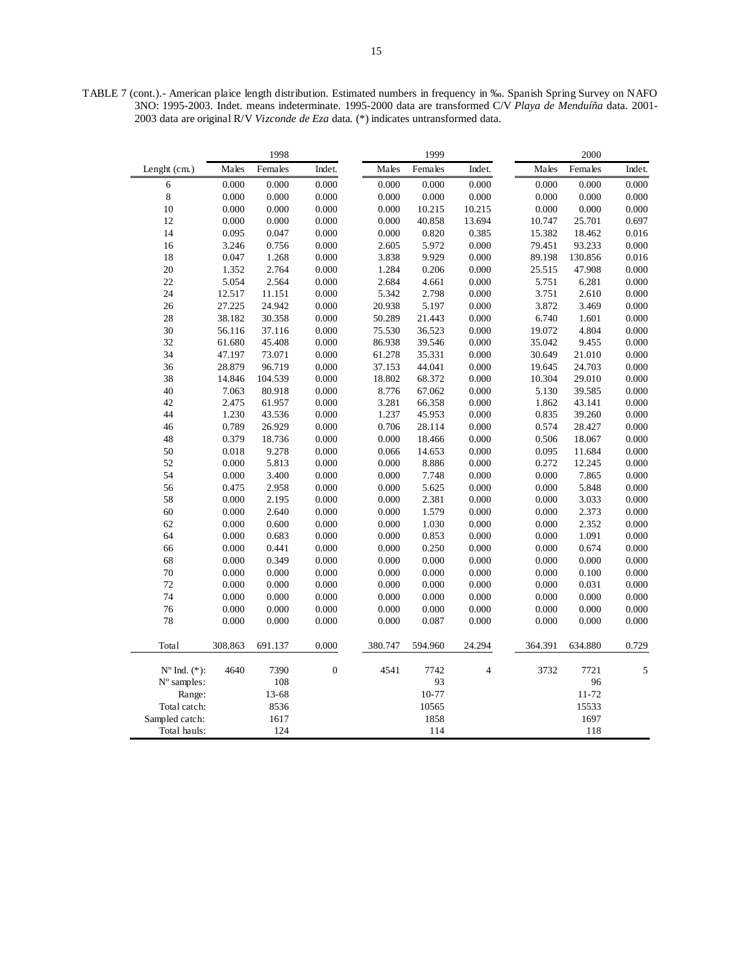TABLE 7 (cont.).- American plaice length distribution. Estimated numbers in frequency in ‰. Spanish Spring Survey on NAFO 3NO: 1995-2003. Indet. means indeterminate. 1995-2000 data are transformed C/V *Playa de Menduíña* data. 2001- 2003 data are original R/V *Vizconde de Eza* data. (\*) indicates untransformed data.

|                         |         | 1998    |              |         | 1999      |                |         | 2000      |        |
|-------------------------|---------|---------|--------------|---------|-----------|----------------|---------|-----------|--------|
| Lenght (cm.)            | Males   | Females | Indet.       | Males   | Females   | Indet.         | Males   | Females   | Indet. |
| 6                       | 0.000   | 0.000   | 0.000        | 0.000   | 0.000     | 0.000          | 0.000   | 0.000     | 0.000  |
| $\,$ 8 $\,$             | 0.000   | 0.000   | 0.000        | 0.000   | 0.000     | 0.000          | 0.000   | 0.000     | 0.000  |
| 10                      | 0.000   | 0.000   | 0.000        | 0.000   | 10.215    | 10.215         | 0.000   | 0.000     | 0.000  |
| 12                      | 0.000   | 0.000   | 0.000        | 0.000   | 40.858    | 13.694         | 10.747  | 25.701    | 0.697  |
| 14                      | 0.095   | 0.047   | 0.000        | 0.000   | 0.820     | 0.385          | 15.382  | 18.462    | 0.016  |
| 16                      | 3.246   | 0.756   | 0.000        | 2.605   | 5.972     | 0.000          | 79.451  | 93.233    | 0.000  |
| 18                      | 0.047   | 1.268   | 0.000        | 3.838   | 9.929     | 0.000          | 89.198  | 130.856   | 0.016  |
| 20                      | 1.352   | 2.764   | 0.000        | 1.284   | 0.206     | 0.000          | 25.515  | 47.908    | 0.000  |
| 22                      | 5.054   | 2.564   | 0.000        | 2.684   | 4.661     | 0.000          | 5.751   | 6.281     | 0.000  |
| 24                      | 12.517  | 11.151  | 0.000        | 5.342   | 2.798     | 0.000          | 3.751   | 2.610     | 0.000  |
| 26                      | 27.225  | 24.942  | 0.000        | 20.938  | 5.197     | 0.000          | 3.872   | 3.469     | 0.000  |
| 28                      | 38.182  | 30.358  | 0.000        | 50.289  | 21.443    | 0.000          | 6.740   | 1.601     | 0.000  |
| 30                      | 56.116  | 37.116  | 0.000        | 75.530  | 36.523    | 0.000          | 19.072  | 4.804     | 0.000  |
| 32                      | 61.680  | 45.408  | 0.000        | 86.938  | 39.546    | 0.000          | 35.042  | 9.455     | 0.000  |
| 34                      | 47.197  | 73.071  | $0.000\,$    | 61.278  | 35.331    | 0.000          | 30.649  | 21.010    | 0.000  |
| 36                      | 28.879  | 96.719  | 0.000        | 37.153  | 44.041    | 0.000          | 19.645  | 24.703    | 0.000  |
| 38                      | 14.846  | 104.539 | 0.000        | 18.802  | 68.372    | 0.000          | 10.304  | 29.010    | 0.000  |
| 40                      | 7.063   | 80.918  | 0.000        | 8.776   | 67.062    | 0.000          | 5.130   | 39.585    | 0.000  |
| 42                      | 2.475   | 61.957  | 0.000        | 3.281   | 66.358    | 0.000          | 1.862   | 43.141    | 0.000  |
| 44                      | 1.230   | 43.536  | 0.000        | 1.237   | 45.953    | 0.000          | 0.835   | 39.260    | 0.000  |
| 46                      | 0.789   | 26.929  | 0.000        | 0.706   | 28.114    | 0.000          | 0.574   | 28.427    | 0.000  |
| 48                      | 0.379   | 18.736  | 0.000        | 0.000   | 18.466    | 0.000          | 0.506   | 18.067    | 0.000  |
| 50                      | 0.018   | 9.278   | 0.000        | 0.066   | 14.653    | 0.000          | 0.095   | 11.684    | 0.000  |
| 52                      | 0.000   | 5.813   | 0.000        | 0.000   | 8.886     | 0.000          | 0.272   | 12.245    | 0.000  |
| 54                      | 0.000   | 3.400   | 0.000        | 0.000   | 7.748     | 0.000          | 0.000   | 7.865     | 0.000  |
| 56                      | 0.475   | 2.958   | 0.000        | 0.000   | 5.625     | 0.000          | 0.000   | 5.848     | 0.000  |
| 58                      | 0.000   | 2.195   | 0.000        | 0.000   | 2.381     | 0.000          | 0.000   | 3.033     | 0.000  |
| 60                      | 0.000   | 2.640   | 0.000        | 0.000   | 1.579     | 0.000          | 0.000   | 2.373     | 0.000  |
| 62                      | 0.000   | 0.600   | 0.000        | 0.000   | 1.030     | 0.000          | 0.000   | 2.352     | 0.000  |
| 64                      | 0.000   | 0.683   | 0.000        | 0.000   | 0.853     | 0.000          | 0.000   | 1.091     | 0.000  |
| 66                      | 0.000   | 0.441   | 0.000        | 0.000   | 0.250     | 0.000          | 0.000   | 0.674     | 0.000  |
| 68                      | 0.000   | 0.349   | 0.000        | 0.000   | 0.000     | 0.000          | 0.000   | 0.000     | 0.000  |
| 70                      | 0.000   | 0.000   | 0.000        | 0.000   | 0.000     | 0.000          | 0.000   | 0.100     | 0.000  |
| 72                      | 0.000   | 0.000   | 0.000        | 0.000   | 0.000     | 0.000          | 0.000   | 0.031     | 0.000  |
| 74                      | 0.000   | 0.000   | 0.000        | 0.000   | 0.000     | 0.000          | 0.000   | 0.000     | 0.000  |
| 76                      | 0.000   | 0.000   | 0.000        | 0.000   | 0.000     | 0.000          | 0.000   | 0.000     | 0.000  |
| 78                      | 0.000   | 0.000   | 0.000        | 0.000   | 0.087     | 0.000          | 0.000   | 0.000     | 0.000  |
| Total                   | 308.863 | 691.137 | 0.000        | 380.747 | 594.960   | 24.294         | 364.391 | 634.880   | 0.729  |
| $N^{\circ}$ Ind. $(*):$ | 4640    | 7390    | $\mathbf{0}$ | 4541    | 7742      | $\overline{4}$ | 3732    | 7721      | 5      |
| $N^{\circ}$ samples:    |         | 108     |              |         | 93        |                |         | 96        |        |
| Range:                  |         | 13-68   |              |         | $10 - 77$ |                |         | $11 - 72$ |        |
| Total catch:            |         | 8536    |              |         | 10565     |                |         | 15533     |        |
| Sampled catch:          |         | 1617    |              |         | 1858      |                |         | 1697      |        |
| Total hauls:            |         | 124     |              |         | 114       |                |         | 118       |        |
|                         |         |         |              |         |           |                |         |           |        |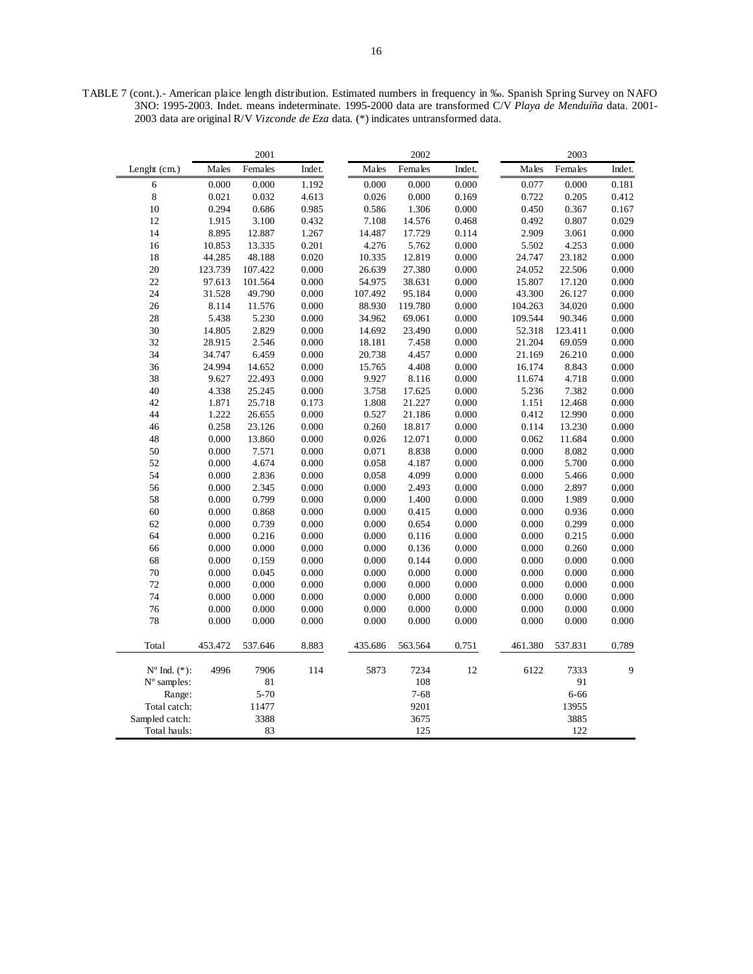TABLE 7 (cont.).- American plaice length distribution. Estimated numbers in frequency in ‰. Spanish Spring Survey on NAFO 3NO: 1995-2003. Indet. means indeterminate. 1995-2000 data are transformed C/V *Playa de Menduíña* data. 2001- 2003 data are original R/V *Vizconde de Eza* data. (\*) indicates untransformed data.

|                          |         | 2001     |        |         | 2002     |        |         | 2003     |        |
|--------------------------|---------|----------|--------|---------|----------|--------|---------|----------|--------|
| Lenght (cm.)             | Males   | Females  | Indet. | Males   | Females  | Indet. | Males   | Females  | Indet. |
| 6                        | 0.000   | 0.000    | 1.192  | 0.000   | 0.000    | 0.000  | 0.077   | 0.000    | 0.181  |
| 8                        | 0.021   | 0.032    | 4.613  | 0.026   | 0.000    | 0.169  | 0.722   | 0.205    | 0.412  |
| 10                       | 0.294   | 0.686    | 0.985  | 0.586   | 1.306    | 0.000  | 0.450   | 0.367    | 0.167  |
| 12                       | 1.915   | 3.100    | 0.432  | 7.108   | 14.576   | 0.468  | 0.492   | 0.807    | 0.029  |
| 14                       | 8.895   | 12.887   | 1.267  | 14.487  | 17.729   | 0.114  | 2.909   | 3.061    | 0.000  |
| 16                       | 10.853  | 13.335   | 0.201  | 4.276   | 5.762    | 0.000  | 5.502   | 4.253    | 0.000  |
| 18                       | 44.285  | 48.188   | 0.020  | 10.335  | 12.819   | 0.000  | 24.747  | 23.182   | 0.000  |
| $20\,$                   | 123.739 | 107.422  | 0.000  | 26.639  | 27.380   | 0.000  | 24.052  | 22.506   | 0.000  |
| 22                       | 97.613  | 101.564  | 0.000  | 54.975  | 38.631   | 0.000  | 15.807  | 17.120   | 0.000  |
| 24                       | 31.528  | 49.790   | 0.000  | 107.492 | 95.184   | 0.000  | 43.300  | 26.127   | 0.000  |
| 26                       | 8.114   | 11.576   | 0.000  | 88.930  | 119.780  | 0.000  | 104.263 | 34.020   | 0.000  |
| 28                       | 5.438   | 5.230    | 0.000  | 34.962  | 69.061   | 0.000  | 109.544 | 90.346   | 0.000  |
| 30                       | 14.805  | 2.829    | 0.000  | 14.692  | 23.490   | 0.000  | 52.318  | 123.411  | 0.000  |
| 32                       | 28.915  | 2.546    | 0.000  | 18.181  | 7.458    | 0.000  | 21.204  | 69.059   | 0.000  |
| 34                       | 34.747  | 6.459    | 0.000  | 20.738  | 4.457    | 0.000  | 21.169  | 26.210   | 0.000  |
| 36                       | 24.994  | 14.652   | 0.000  | 15.765  | 4.408    | 0.000  | 16.174  | 8.843    | 0.000  |
| 38                       | 9.627   | 22.493   | 0.000  | 9.927   | 8.116    | 0.000  | 11.674  | 4.718    | 0.000  |
| 40                       | 4.338   | 25.245   | 0.000  | 3.758   | 17.625   | 0.000  | 5.236   | 7.382    | 0.000  |
| 42                       | 1.871   | 25.718   | 0.173  | 1.808   | 21.227   | 0.000  | 1.151   | 12.468   | 0.000  |
| 44                       | 1.222   | 26.655   | 0.000  | 0.527   | 21.186   | 0.000  | 0.412   | 12.990   | 0.000  |
| 46                       | 0.258   | 23.126   | 0.000  | 0.260   | 18.817   | 0.000  | 0.114   | 13.230   | 0.000  |
| 48                       | 0.000   | 13.860   | 0.000  | 0.026   | 12.071   | 0.000  | 0.062   | 11.684   | 0.000  |
| 50                       | 0.000   | 7.571    | 0.000  | 0.071   | 8.838    | 0.000  | 0.000   | 8.082    | 0.000  |
| 52                       | 0.000   | 4.674    | 0.000  | 0.058   | 4.187    | 0.000  | 0.000   | 5.700    | 0.000  |
| 54                       | 0.000   | 2.836    | 0.000  | 0.058   | 4.099    | 0.000  | 0.000   | 5.466    | 0.000  |
| 56                       | 0.000   | 2.345    | 0.000  | 0.000   | 2.493    | 0.000  | 0.000   | 2.897    | 0.000  |
| 58                       | 0.000   | 0.799    | 0.000  | 0.000   | 1.400    | 0.000  | 0.000   | 1.989    | 0.000  |
| 60                       | 0.000   | 0.868    | 0.000  | 0.000   | 0.415    | 0.000  | 0.000   | 0.936    | 0.000  |
| 62                       | 0.000   | 0.739    | 0.000  | 0.000   | 0.654    | 0.000  | 0.000   | 0.299    | 0.000  |
| 64                       | 0.000   | 0.216    | 0.000  | 0.000   | 0.116    | 0.000  | 0.000   | 0.215    | 0.000  |
| 66                       | 0.000   | 0.000    | 0.000  | 0.000   | 0.136    | 0.000  | 0.000   | 0.260    | 0.000  |
| 68                       | 0.000   | 0.159    | 0.000  | 0.000   | 0.144    | 0.000  | 0.000   | 0.000    | 0.000  |
| 70                       | 0.000   | 0.045    | 0.000  | 0.000   | 0.000    | 0.000  | 0.000   | 0.000    | 0.000  |
| 72                       | 0.000   | 0.000    | 0.000  | 0.000   | 0.000    | 0.000  | 0.000   | 0.000    | 0.000  |
| 74                       | 0.000   | 0.000    | 0.000  | 0.000   | 0.000    | 0.000  | 0.000   | 0.000    | 0.000  |
| 76                       | 0.000   | 0.000    | 0.000  | 0.000   | 0.000    | 0.000  | 0.000   | 0.000    | 0.000  |
| 78                       | 0.000   | 0.000    | 0.000  | 0.000   | 0.000    | 0.000  | 0.000   | 0.000    | 0.000  |
|                          |         |          |        |         |          |        |         |          |        |
| Total                    | 453.472 | 537.646  | 8.883  | 435.686 | 563.564  | 0.751  | 461.380 | 537.831  | 0.789  |
| $N^{\circ}$ Ind. $(*)$ : | 4996    | 7906     | 114    | 5873    | 7234     | 12     | 6122    | 7333     | 9      |
| N° samples:              |         | 81       |        |         | 108      |        |         | 91       |        |
| Range:                   |         | $5 - 70$ |        |         | $7 - 68$ |        |         | $6 - 66$ |        |
| Total catch:             |         | 11477    |        |         | 9201     |        |         | 13955    |        |
| Sampled catch:           |         | 3388     |        |         | 3675     |        |         | 3885     |        |
| Total hauls:             |         | 83       |        |         | 125      |        |         | 122      |        |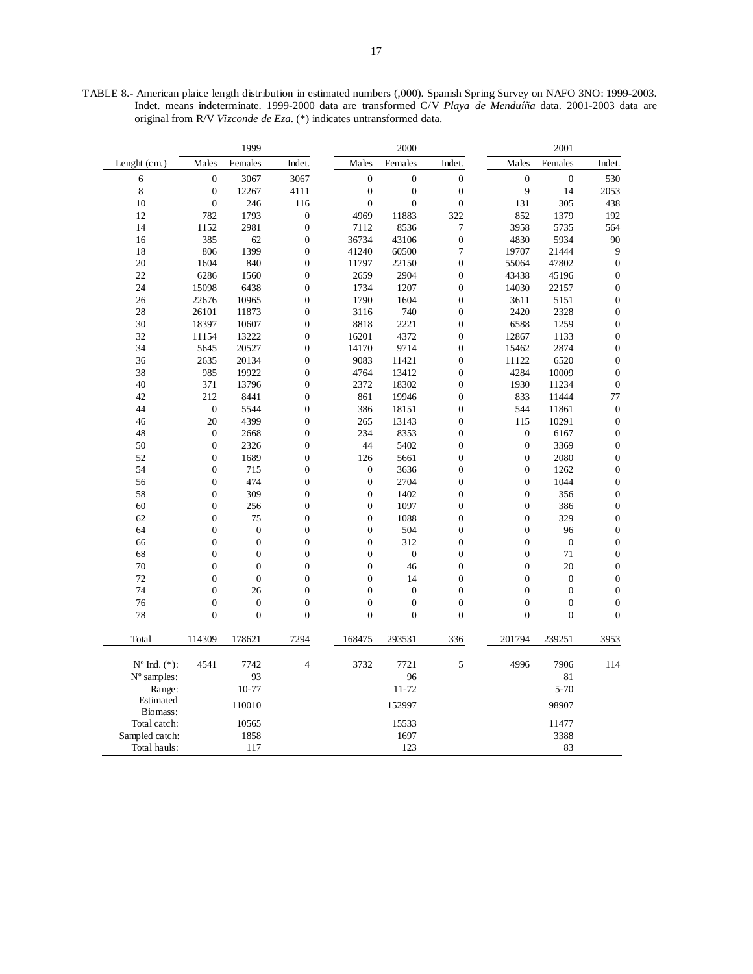TABLE 8.- American plaice length distribution in estimated numbers (,000). Spanish Spring Survey on NAFO 3NO: 1999-2003. Indet. means indeterminate. 1999-2000 data are transformed C/V *Playa de Menduíña* data. 2001-2003 data are original from R/V *Vizconde de Eza*. (\*) indicates untransformed data.

|                          |                  | 1999             |                  |                  | 2000             |                  |                  | 2001             |                  |
|--------------------------|------------------|------------------|------------------|------------------|------------------|------------------|------------------|------------------|------------------|
| Lenght (cm.)             | Males            | Females          | Indet.           | Males            | Females          | Indet.           | Males            | Females          | Indet.           |
| 6                        | $\boldsymbol{0}$ | 3067             | 3067             | $\boldsymbol{0}$ | $\boldsymbol{0}$ | $\boldsymbol{0}$ | $\mathbf{0}$     | $\mathbf{0}$     | 530              |
| 8                        | $\boldsymbol{0}$ | 12267            | 4111             | $\boldsymbol{0}$ | $\boldsymbol{0}$ | $\boldsymbol{0}$ | 9                | 14               | 2053             |
| 10                       | $\mathbf{0}$     | 246              | 116              | $\mathbf{0}$     | $\mathbf{0}$     | $\boldsymbol{0}$ | 131              | 305              | 438              |
| 12                       | 782              | 1793             | $\boldsymbol{0}$ | 4969             | 11883            | 322              | 852              | 1379             | 192              |
| 14                       | 1152             | 2981             | $\boldsymbol{0}$ | 7112             | 8536             | 7                | 3958             | 5735             | 564              |
| 16                       | 385              | 62               | $\boldsymbol{0}$ | 36734            | 43106            | $\mathbf{0}$     | 4830             | 5934             | 90               |
| 18                       | 806              | 1399             | $\boldsymbol{0}$ | 41240            | 60500            | 7                | 19707            | 21444            | 9                |
| 20                       | 1604             | 840              | $\boldsymbol{0}$ | 11797            | 22150            | $\mathbf{0}$     | 55064            | 47802            | $\boldsymbol{0}$ |
| 22                       | 6286             | 1560             | $\boldsymbol{0}$ | 2659             | 2904             | $\boldsymbol{0}$ | 43438            | 45196            | $\boldsymbol{0}$ |
| 24                       | 15098            | 6438             | $\overline{0}$   | 1734             | 1207             | $\overline{0}$   | 14030            | 22157            | $\boldsymbol{0}$ |
| 26                       | 22676            | 10965            | $\boldsymbol{0}$ | 1790             | 1604             | $\boldsymbol{0}$ | 3611             | 5151             | $\boldsymbol{0}$ |
| 28                       | 26101            | 11873            | $\overline{0}$   | 3116             | 740              | $\overline{0}$   | 2420             | 2328             | $\boldsymbol{0}$ |
| 30                       | 18397            | 10607            | $\overline{0}$   | 8818             | 2221             | $\overline{0}$   | 6588             | 1259             | $\boldsymbol{0}$ |
| 32                       | 11154            | 13222            | $\boldsymbol{0}$ | 16201            | 4372             | $\boldsymbol{0}$ | 12867            | 1133             | $\boldsymbol{0}$ |
| 34                       | 5645             | 20527            | $\boldsymbol{0}$ | 14170            | 9714             | $\boldsymbol{0}$ | 15462            | 2874             | $\boldsymbol{0}$ |
| 36                       | 2635             | 20134            | $\boldsymbol{0}$ | 9083             | 11421            | $\mathbf{0}$     | 11122            | 6520             | $\boldsymbol{0}$ |
| 38                       | 985              | 19922            | $\overline{0}$   | 4764             | 13412            | $\mathbf{0}$     | 4284             | 10009            | $\boldsymbol{0}$ |
| 40                       | 371              | 13796            | $\boldsymbol{0}$ | 2372             | 18302            | $\mathbf{0}$     | 1930             | 11234            | $\boldsymbol{0}$ |
| 42                       | 212              | 8441             | $\boldsymbol{0}$ | 861              | 19946            | $\mathbf{0}$     | 833              | 11444            | 77               |
| 44                       | $\boldsymbol{0}$ | 5544             | $\overline{0}$   | 386              | 18151            | $\overline{0}$   | 544              | 11861            | $\boldsymbol{0}$ |
| 46                       | 20               | 4399             | $\boldsymbol{0}$ | 265              | 13143            | $\mathbf{0}$     | 115              | 10291            | $\boldsymbol{0}$ |
| 48                       | $\overline{0}$   | 2668             | $\overline{0}$   | 234              | 8353             | $\overline{0}$   | $\boldsymbol{0}$ | 6167             | $\boldsymbol{0}$ |
| 50                       | $\mathbf{0}$     | 2326             | $\overline{0}$   | 44               | 5402             | $\overline{0}$   | $\boldsymbol{0}$ | 3369             | $\boldsymbol{0}$ |
| 52                       | $\mathbf{0}$     | 1689             | $\boldsymbol{0}$ | 126              | 5661             | $\mathbf{0}$     | $\mathbf{0}$     | 2080             | $\boldsymbol{0}$ |
| 54                       | $\boldsymbol{0}$ | 715              | $\boldsymbol{0}$ | $\boldsymbol{0}$ | 3636             | $\mathbf{0}$     | $\boldsymbol{0}$ | 1262             | $\boldsymbol{0}$ |
| 56                       | $\boldsymbol{0}$ | 474              | $\boldsymbol{0}$ | $\boldsymbol{0}$ | 2704             | $\boldsymbol{0}$ | $\boldsymbol{0}$ | 1044             | $\boldsymbol{0}$ |
| 58                       | $\overline{0}$   | 309              | $\overline{0}$   | $\overline{0}$   | 1402             | $\overline{0}$   | $\mathbf{0}$     | 356              | $\boldsymbol{0}$ |
| 60                       | $\mathbf{0}$     | 256              | $\boldsymbol{0}$ | $\boldsymbol{0}$ | 1097             | $\boldsymbol{0}$ | $\boldsymbol{0}$ | 386              | $\boldsymbol{0}$ |
| 62                       | $\boldsymbol{0}$ | 75               | $\overline{0}$   | $\boldsymbol{0}$ | 1088             | $\overline{0}$   | $\mathbf{0}$     | 329              | $\boldsymbol{0}$ |
| 64                       | $\mathbf{0}$     | $\mathbf{0}$     | $\boldsymbol{0}$ | $\boldsymbol{0}$ | 504              | $\boldsymbol{0}$ | $\boldsymbol{0}$ | 96               | $\boldsymbol{0}$ |
| 66                       | $\boldsymbol{0}$ | $\mathbf{0}$     | $\boldsymbol{0}$ | $\boldsymbol{0}$ | 312              | $\boldsymbol{0}$ | $\boldsymbol{0}$ | $\boldsymbol{0}$ | $\boldsymbol{0}$ |
| 68                       | $\mathbf{0}$     | $\mathbf{0}$     | $\overline{0}$   | $\boldsymbol{0}$ | $\boldsymbol{0}$ | $\boldsymbol{0}$ | $\overline{0}$   | 71               | $\boldsymbol{0}$ |
| 70                       | $\mathbf{0}$     | $\mathbf{0}$     | $\boldsymbol{0}$ | $\boldsymbol{0}$ | 46               | $\boldsymbol{0}$ | $\boldsymbol{0}$ | 20               | $\boldsymbol{0}$ |
| 72                       | $\overline{0}$   | $\overline{0}$   | $\overline{0}$   | $\boldsymbol{0}$ | 14               | $\overline{0}$   | $\overline{0}$   | $\boldsymbol{0}$ | $\boldsymbol{0}$ |
| 74                       | $\mathbf{0}$     | 26               | $\boldsymbol{0}$ | $\boldsymbol{0}$ | $\boldsymbol{0}$ | $\boldsymbol{0}$ | $\boldsymbol{0}$ | $\boldsymbol{0}$ | $\boldsymbol{0}$ |
| 76                       | $\mathbf{0}$     | $\boldsymbol{0}$ | $\boldsymbol{0}$ | $\boldsymbol{0}$ | $\mathbf{0}$     | $\boldsymbol{0}$ | $\boldsymbol{0}$ | $\boldsymbol{0}$ | $\boldsymbol{0}$ |
| 78                       | $\overline{0}$   | $\overline{0}$   | $\overline{0}$   | $\overline{0}$   | $\overline{0}$   | $\overline{0}$   | $\overline{0}$   | $\overline{0}$   | $\overline{0}$   |
| Total                    | 114309           | 178621           | 7294             | 168475           | 293531           | 336              | 201794           | 239251           | 3953             |
| $N^{\circ}$ Ind. $(*)$ : | 4541             | 7742             | $\overline{4}$   | 3732             | 7721             | 5                | 4996             | 7906             | 114              |
| $N^{\circ}$ samples:     |                  | 93               |                  |                  | 96               |                  |                  | 81               |                  |
| Range:                   |                  | 10-77            |                  |                  | 11-72            |                  |                  | $5 - 70$         |                  |
| Estimated                |                  | 110010           |                  |                  | 152997           |                  |                  | 98907            |                  |
| Biomass:                 |                  |                  |                  |                  |                  |                  |                  |                  |                  |
| Total catch:             |                  | 10565            |                  |                  | 15533            |                  |                  | 11477            |                  |
| Sampled catch:           |                  | 1858             |                  |                  | 1697             |                  |                  | 3388             |                  |
| Total hauls:             |                  | 117              |                  |                  | 123              |                  |                  | 83               |                  |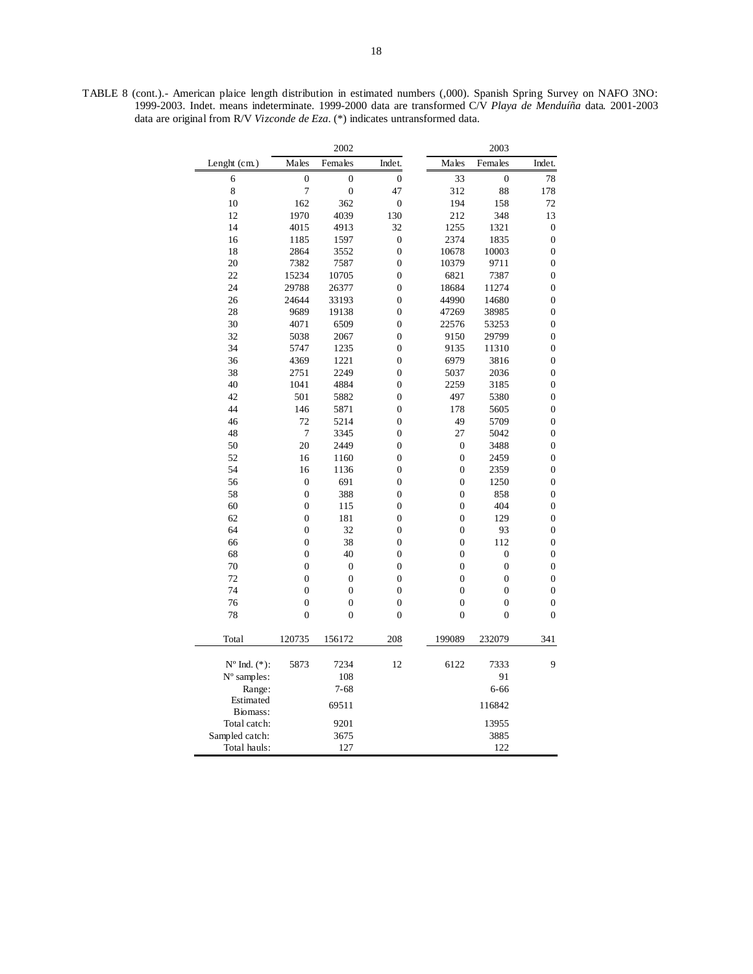TABLE 8 (cont.).- American plaice length distribution in estimated numbers (,000). Spanish Spring Survey on NAFO 3NO: 1999-2003. Indet. means indeterminate. 1999-2000 data are transformed C/V *Playa de Menduíña* data. 2001-2003 data are original from R/V *Vizconde de Eza*. (\*) indicates untransformed data.

|                         |                  | 2002             |                  |                  | 2003             |                  |
|-------------------------|------------------|------------------|------------------|------------------|------------------|------------------|
| Lenght (cm.)            | Males            | Females          | Indet.           | Males            | Females          | Indet.           |
| 6                       | $\overline{0}$   | $\overline{0}$   | $\overline{0}$   | 33               | $\overline{0}$   | 78               |
| 8                       | 7                | $\boldsymbol{0}$ | 47               | 312              | 88               | 178              |
| 10                      | 162              | 362              | $\mathbf{0}$     | 194              | 158              | 72               |
| 12                      | 1970             | 4039             | 130              | 212              | 348              | 13               |
| 14                      | 4015             | 4913             | 32               | 1255             | 1321             | $\boldsymbol{0}$ |
| 16                      | 1185             | 1597             | $\boldsymbol{0}$ | 2374             | 1835             | $\boldsymbol{0}$ |
| 18                      | 2864             | 3552             | $\overline{0}$   | 10678            | 10003            | $\boldsymbol{0}$ |
| 20                      | 7382             | 7587             | $\overline{0}$   | 10379            | 9711             | $\boldsymbol{0}$ |
| 22                      | 15234            | 10705            | $\overline{0}$   | 6821             | 7387             | $\boldsymbol{0}$ |
| 24                      | 29788            | 26377            | $\overline{0}$   | 18684            | 11274            | $\overline{0}$   |
| 26                      | 24644            | 33193            | $\overline{0}$   | 44990            | 14680            | $\boldsymbol{0}$ |
| 28                      | 9689             | 19138            | $\overline{0}$   | 47269            | 38985            | $\boldsymbol{0}$ |
| 30                      | 4071             | 6509             | $\overline{0}$   | 22576            | 53253            | $\boldsymbol{0}$ |
| 32                      | 5038             | 2067             | $\overline{0}$   | 9150             | 29799            | $\boldsymbol{0}$ |
| 34                      | 5747             | 1235             | $\overline{0}$   | 9135             | 11310            | $\boldsymbol{0}$ |
| 36                      | 4369             | 1221             | $\overline{0}$   | 6979             | 3816             | $\mathbf{0}$     |
| 38                      | 2751             | 2249             | $\overline{0}$   | 5037             | 2036             | $\boldsymbol{0}$ |
| 40                      | 1041             | 4884             | $\overline{0}$   | 2259             | 3185             | $\overline{0}$   |
| 42                      | 501              | 5882             | $\overline{0}$   | 497              | 5380             | $\mathbf{0}$     |
| 44                      | 146              | 5871             | $\overline{0}$   | 178              | 5605             | $\mathbf{0}$     |
| 46                      | 72               | 5214             | $\overline{0}$   | 49               | 5709             | $\overline{0}$   |
| 48                      | 7                | 3345             | $\overline{0}$   | 27               | 5042             | $\overline{0}$   |
| 50                      | 20               | 2449             | $\overline{0}$   | $\boldsymbol{0}$ | 3488             | $\boldsymbol{0}$ |
| 52                      | 16               | 1160             | $\overline{0}$   | $\overline{0}$   | 2459             | $\overline{0}$   |
| 54                      | 16               | 1136             | $\overline{0}$   | $\boldsymbol{0}$ | 2359             | $\boldsymbol{0}$ |
| 56                      | $\boldsymbol{0}$ | 691              | $\overline{0}$   | $\mathbf{0}$     | 1250             | $\boldsymbol{0}$ |
| 58                      | $\overline{0}$   | 388              | $\overline{0}$   | $\overline{0}$   | 858              | $\overline{0}$   |
| 60                      | $\boldsymbol{0}$ | 115              | $\overline{0}$   | $\overline{0}$   | 404              | $\mathbf{0}$     |
| 62                      | $\boldsymbol{0}$ | 181              | $\overline{0}$   | $\overline{0}$   | 129              | $\boldsymbol{0}$ |
| 64                      | $\overline{0}$   | 32               | $\overline{0}$   | $\overline{0}$   | 93               | $\boldsymbol{0}$ |
| 66                      | $\overline{0}$   | 38               | $\overline{0}$   | $\overline{0}$   | 112              | $\boldsymbol{0}$ |
| 68                      | $\boldsymbol{0}$ | 40               | $\overline{0}$   | $\mathbf{0}$     | $\boldsymbol{0}$ | $\boldsymbol{0}$ |
| 70                      | $\overline{0}$   | $\overline{0}$   | $\overline{0}$   | $\overline{0}$   | $\overline{0}$   | $\overline{0}$   |
| 72                      | $\overline{0}$   | $\overline{0}$   | $\overline{0}$   | $\overline{0}$   | $\overline{0}$   | $\boldsymbol{0}$ |
| 74                      | $\boldsymbol{0}$ | $\boldsymbol{0}$ | $\overline{0}$   | $\overline{0}$   | $\mathbf{0}$     | $\boldsymbol{0}$ |
| 76                      | $\overline{0}$   | $\boldsymbol{0}$ | $\overline{0}$   | $\mathbf{0}$     | $\overline{0}$   | $\boldsymbol{0}$ |
| 78                      | $\overline{0}$   | $\overline{0}$   | $\overline{0}$   | $\overline{0}$   | $\overline{0}$   | $\overline{0}$   |
| Total                   | 120735           | 156172           | 208              | 199089           | 232079           | 341              |
| $N^{\circ}$ Ind. $(*):$ | 5873             | 7234             | 12               | 6122             | 7333             | 9                |
| N° samples:             |                  | 108              |                  |                  | 91               |                  |
| Range:                  |                  | $7 - 68$         |                  |                  | 6-66             |                  |
| Estimated               |                  |                  |                  |                  |                  |                  |
| Biomass:                |                  | 69511            |                  |                  | 116842           |                  |
| Total catch:            |                  | 9201             |                  |                  | 13955            |                  |
| Sampled catch:          |                  | 3675             |                  |                  | 3885             |                  |
| Total hauls:            |                  | 127              |                  |                  | 122              |                  |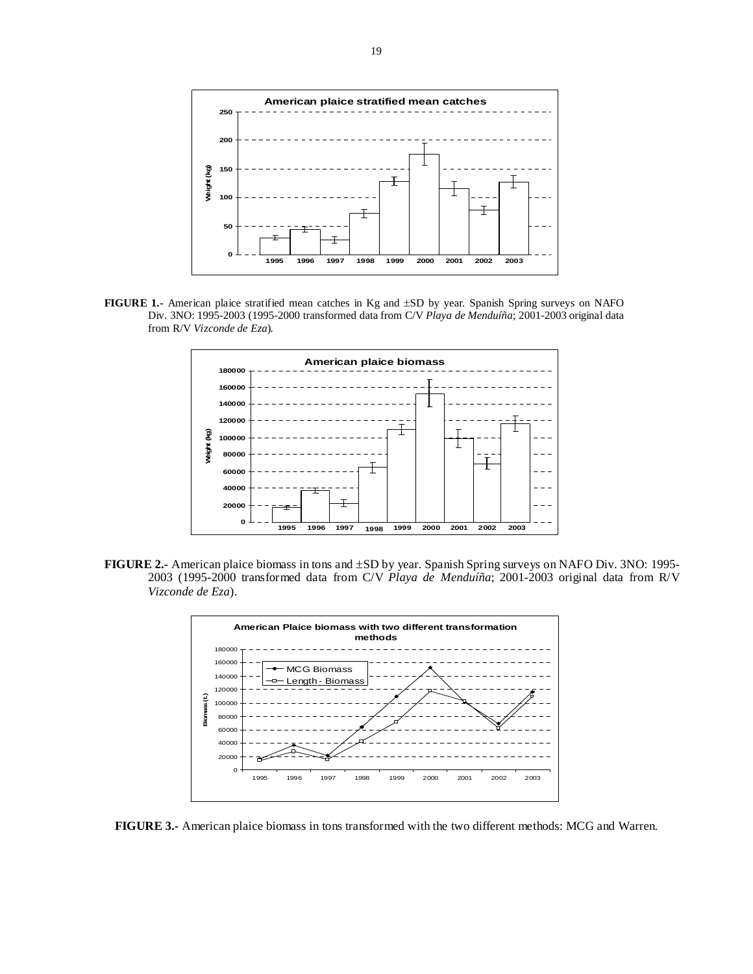

**FIGURE 1.-** American plaice stratified mean catches in Kg and ±SD by year. Spanish Spring surveys on NAFO Div. 3NO: 1995-2003 (1995-2000 transformed data from C/V *Playa de Menduíña*; 2001-2003 original data from R/V *Vizconde de Eza*).



**FIGURE 2.-** American plaice biomass in tons and ±SD by year. Spanish Spring surveys on NAFO Div. 3NO: 1995- 2003 (1995-2000 transformed data from C/V *Playa de Menduíña*; 2001-2003 original data from R/V *Vizconde de Eza*).



**FIGURE 3.-** American plaice biomass in tons transformed with the two different methods: MCG and Warren.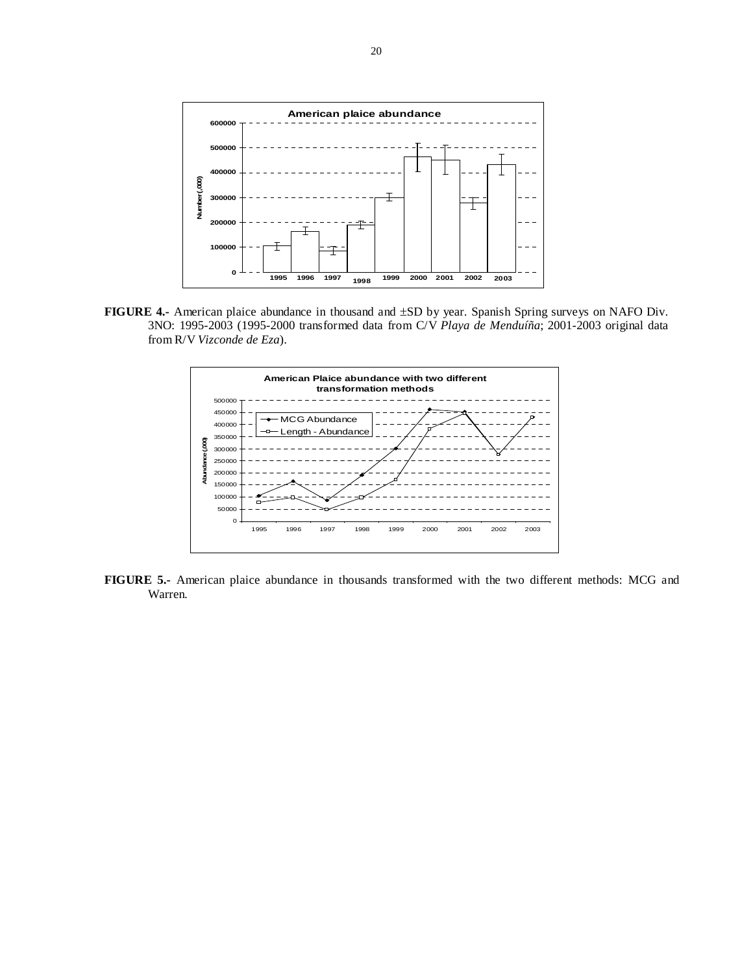

**FIGURE 4.-** American plaice abundance in thousand and ±SD by year. Spanish Spring surveys on NAFO Div. 3NO: 1995-2003 (1995-2000 transformed data from C/V *Playa de Menduíña*; 2001-2003 original data from R/V *Vizconde de Eza*).



**FIGURE 5.-** American plaice abundance in thousands transformed with the two different methods: MCG and Warren.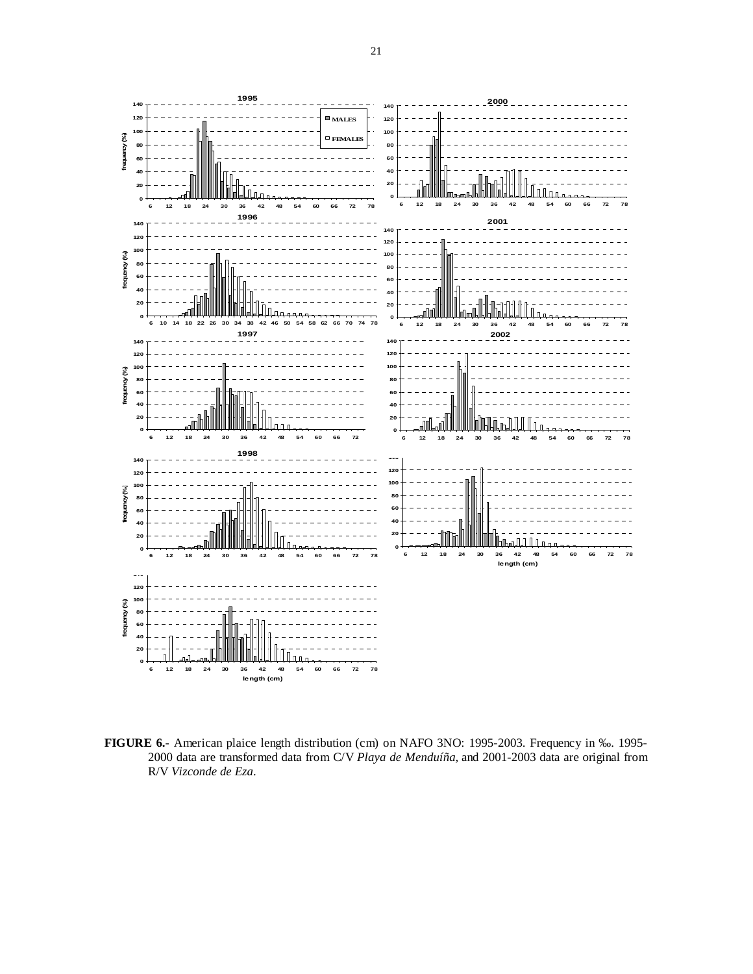

**FIGURE 6.-** American plaice length distribution (cm) on NAFO 3NO: 1995-2003. Frequency in ‰. 1995- 2000 data are transformed data from C/V *Playa de Menduíña*, and 2001-2003 data are original from R/V *Vizconde de Eza*.